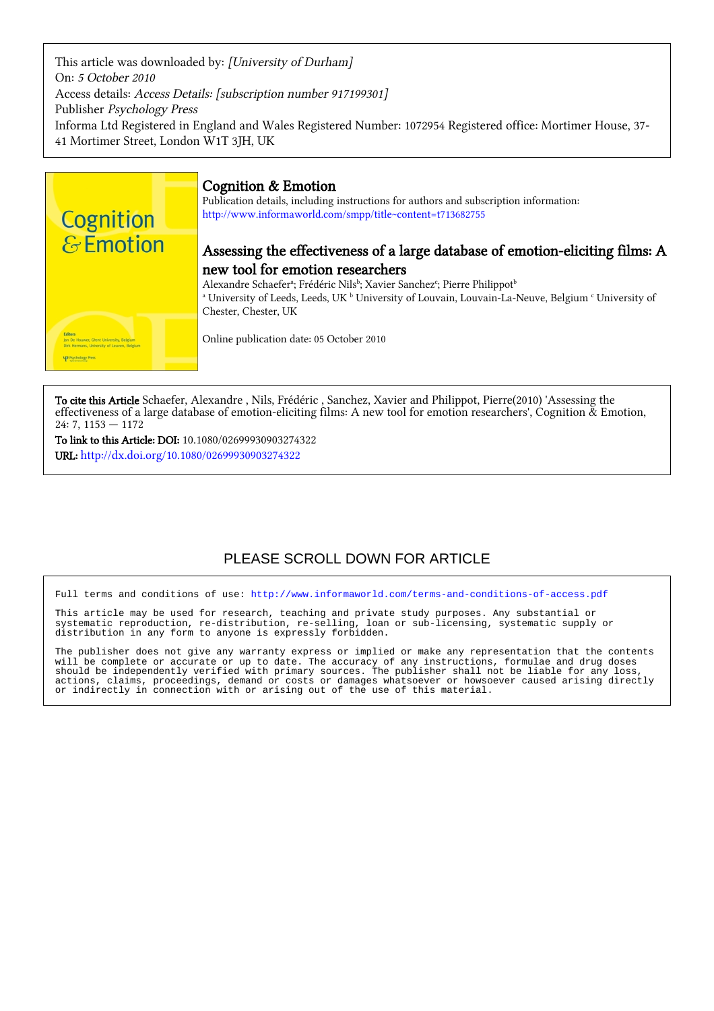This article was downloaded by: [University of Durham] On: 5 October 2010 Access details: Access Details: [subscription number 917199301] Publisher Psychology Press Informa Ltd Registered in England and Wales Registered Number: 1072954 Registered office: Mortimer House, 37- 41 Mortimer Street, London W1T 3JH, UK



# Cognition & Emotion

Publication details, including instructions for authors and subscription information: <http://www.informaworld.com/smpp/title~content=t713682755>

# Assessing the effectiveness of a large database of emotion-eliciting films: A new tool for emotion researchers

Alexandre Schaefer<sup>a</sup>; Frédéric Nils<sup>b</sup>; Xavier Sanchez<sup>c</sup>; Pierre Philippot<sup>b</sup>  $^\mathrm{a}$  University of Leeds, Leeds, UK  $^\mathrm{b}$  University of Louvain, Louvain-La-Neuve, Belgium  $^\mathrm{c}$  University of Chester, Chester, UK

Online publication date: 05 October 2010

To cite this Article Schaefer, Alexandre , Nils, Frédéric , Sanchez, Xavier and Philippot, Pierre(2010) 'Assessing the effectiveness of a large database of emotion-eliciting films: A new tool for emotion researchers', Cognition & Emotion, 24: 7, 1153 — 1172

To link to this Article: DOI: 10.1080/02699930903274322 URL: <http://dx.doi.org/10.1080/02699930903274322>

# PLEASE SCROLL DOWN FOR ARTICLE

Full terms and conditions of use:<http://www.informaworld.com/terms-and-conditions-of-access.pdf>

This article may be used for research, teaching and private study purposes. Any substantial or systematic reproduction, re-distribution, re-selling, loan or sub-licensing, systematic supply or distribution in any form to anyone is expressly forbidden.

The publisher does not give any warranty express or implied or make any representation that the contents will be complete or accurate or up to date. The accuracy of any instructions, formulae and drug doses should be independently verified with primary sources. The publisher shall not be liable for any loss, actions, claims, proceedings, demand or costs or damages whatsoever or howsoever caused arising directly or indirectly in connection with or arising out of the use of this material.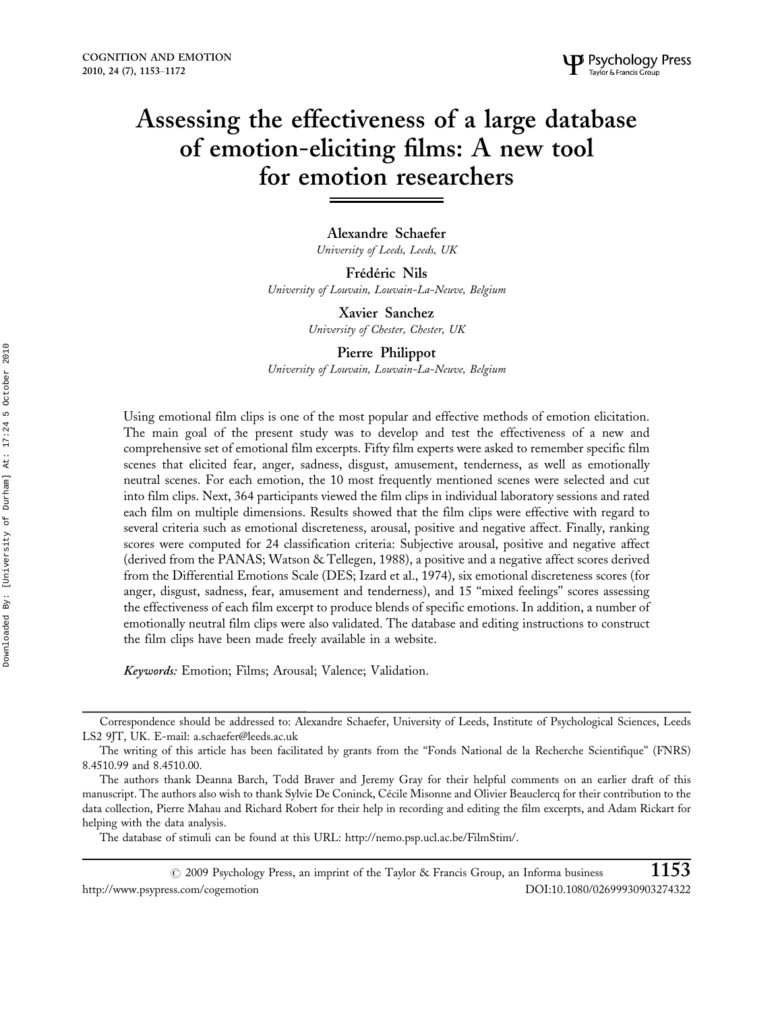# Assessing the effectiveness of a large database of emotion-eliciting films: A new tool for emotion researchers

Alexandre Schaefer University of Leeds, Leeds, UK

Frédéric Nils University of Louvain, Louvain-La-Neuve, Belgium

> Xavier Sanchez University of Chester, Chester, UK

Pierre Philippot University of Louvain, Louvain-La-Neuve, Belgium

Using emotional film clips is one of the most popular and effective methods of emotion elicitation. The main goal of the present study was to develop and test the effectiveness of a new and comprehensive set of emotional film excerpts. Fifty film experts were asked to remember specific film scenes that elicited fear, anger, sadness, disgust, amusement, tenderness, as well as emotionally neutral scenes. For each emotion, the 10 most frequently mentioned scenes were selected and cut into film clips. Next, 364 participants viewed the film clips in individual laboratory sessions and rated each film on multiple dimensions. Results showed that the film clips were effective with regard to several criteria such as emotional discreteness, arousal, positive and negative affect. Finally, ranking scores were computed for 24 classification criteria: Subjective arousal, positive and negative affect (derived from the PANAS; Watson & Tellegen, 1988), a positive and a negative affect scores derived from the Differential Emotions Scale (DES; Izard et al., 1974), six emotional discreteness scores (for anger, disgust, sadness, fear, amusement and tenderness), and 15 ''mixed feelings'' scores assessing the effectiveness of each film excerpt to produce blends of specific emotions. In addition, a number of emotionally neutral film clips were also validated. The database and editing instructions to construct the film clips have been made freely available in a website.

Keywords: Emotion; Films; Arousal; Valence; Validation.

The database of stimuli can be found at this URL: [http://nemo.psp.ucl.ac.be/FilmStim/.](http://nemo.psp.ucl.ac.be/FilmStim/)

Correspondence should be addressed to: Alexandre Schaefer, University of Leeds, Institute of Psychological Sciences, Leeds LS2 9JT, UK. E-mail: a.schaefer@leeds.ac.uk

The writing of this article has been facilitated by grants from the ''Fonds National de la Recherche Scientifique'' (FNRS) 8.4510.99 and 8.4510.00.

The authors thank Deanna Barch, Todd Braver and Jeremy Gray for their helpful comments on an earlier draft of this manuscript. The authors also wish to thank Sylvie De Coninck, Cécile Misonne and Olivier Beauclercq for their contribution to the data collection, Pierre Mahau and Richard Robert for their help in recording and editing the film excerpts, and Adam Rickart for helping with the data analysis.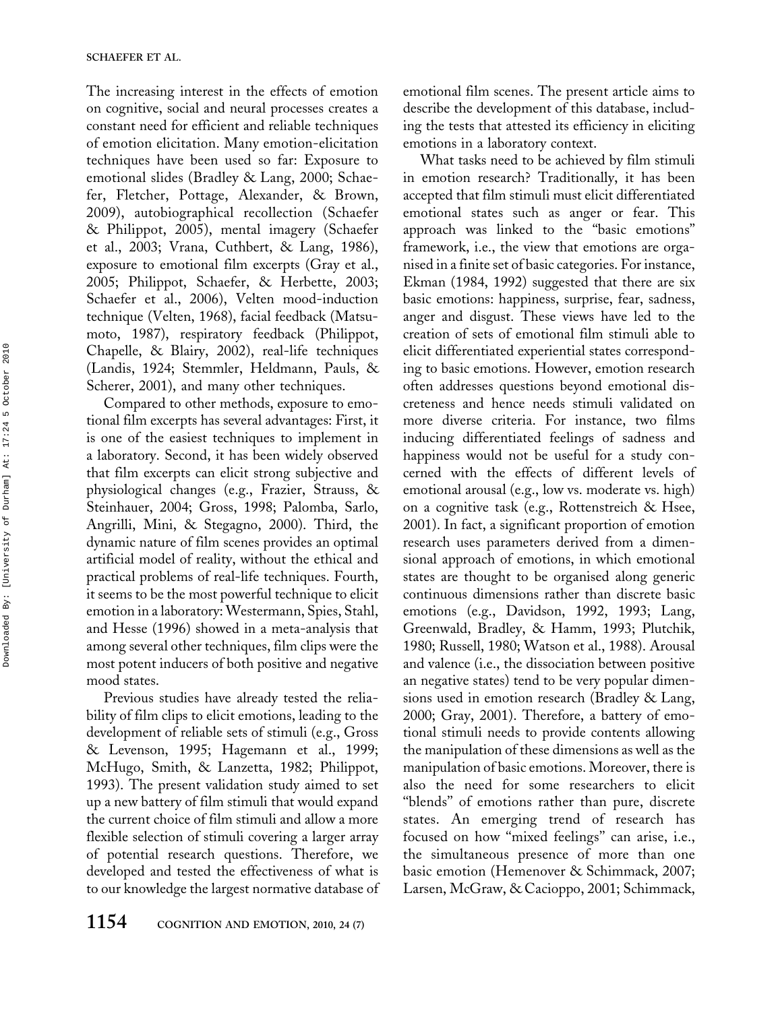The increasing interest in the effects of emotion on cognitive, social and neural processes creates a constant need for efficient and reliable techniques of emotion elicitation. Many emotion-elicitation techniques have been used so far: Exposure to emotional slides (Bradley & Lang, 2000; Schaefer, Fletcher, Pottage, Alexander, & Brown, 2009), autobiographical recollection (Schaefer & Philippot, 2005), mental imagery (Schaefer et al., 2003; Vrana, Cuthbert, & Lang, 1986), exposure to emotional film excerpts (Gray et al., 2005; Philippot, Schaefer, & Herbette, 2003; Schaefer et al., 2006), Velten mood-induction technique (Velten, 1968), facial feedback (Matsumoto, 1987), respiratory feedback (Philippot, Chapelle, & Blairy, 2002), real-life techniques (Landis, 1924; Stemmler, Heldmann, Pauls, & Scherer, 2001), and many other techniques.

Compared to other methods, exposure to emotional film excerpts has several advantages: First, it is one of the easiest techniques to implement in a laboratory. Second, it has been widely observed that film excerpts can elicit strong subjective and physiological changes (e.g., Frazier, Strauss, & Steinhauer, 2004; Gross, 1998; Palomba, Sarlo, Angrilli, Mini, & Stegagno, 2000). Third, the dynamic nature of film scenes provides an optimal artificial model of reality, without the ethical and practical problems of real-life techniques. Fourth, it seems to be the most powerful technique to elicit emotion in a laboratory: Westermann, Spies, Stahl, and Hesse (1996) showed in a meta-analysis that among several other techniques, film clips were the most potent inducers of both positive and negative mood states.

Previous studies have already tested the reliability of film clips to elicit emotions, leading to the development of reliable sets of stimuli (e.g., Gross & Levenson, 1995; Hagemann et al., 1999; McHugo, Smith, & Lanzetta, 1982; Philippot, 1993). The present validation study aimed to set up a new battery of film stimuli that would expand the current choice of film stimuli and allow a more flexible selection of stimuli covering a larger array of potential research questions. Therefore, we developed and tested the effectiveness of what is to our knowledge the largest normative database of

emotional film scenes. The present article aims to describe the development of this database, including the tests that attested its efficiency in eliciting emotions in a laboratory context.

What tasks need to be achieved by film stimuli in emotion research? Traditionally, it has been accepted that film stimuli must elicit differentiated emotional states such as anger or fear. This approach was linked to the ''basic emotions'' framework, i.e., the view that emotions are organised in a finite set of basic categories. For instance, Ekman (1984, 1992) suggested that there are six basic emotions: happiness, surprise, fear, sadness, anger and disgust. These views have led to the creation of sets of emotional film stimuli able to elicit differentiated experiential states corresponding to basic emotions. However, emotion research often addresses questions beyond emotional discreteness and hence needs stimuli validated on more diverse criteria. For instance, two films inducing differentiated feelings of sadness and happiness would not be useful for a study concerned with the effects of different levels of emotional arousal (e.g., low vs. moderate vs. high) on a cognitive task (e.g., Rottenstreich & Hsee, 2001). In fact, a significant proportion of emotion research uses parameters derived from a dimensional approach of emotions, in which emotional states are thought to be organised along generic continuous dimensions rather than discrete basic emotions (e.g., Davidson, 1992, 1993; Lang, Greenwald, Bradley, & Hamm, 1993; Plutchik, 1980; Russell, 1980; Watson et al., 1988). Arousal and valence (i.e., the dissociation between positive an negative states) tend to be very popular dimensions used in emotion research (Bradley & Lang, 2000; Gray, 2001). Therefore, a battery of emotional stimuli needs to provide contents allowing the manipulation of these dimensions as well as the manipulation of basic emotions. Moreover, there is also the need for some researchers to elicit ''blends'' of emotions rather than pure, discrete states. An emerging trend of research has focused on how ''mixed feelings'' can arise, i.e., the simultaneous presence of more than one basic emotion (Hemenover & Schimmack, 2007; Larsen, McGraw, & Cacioppo, 2001; Schimmack,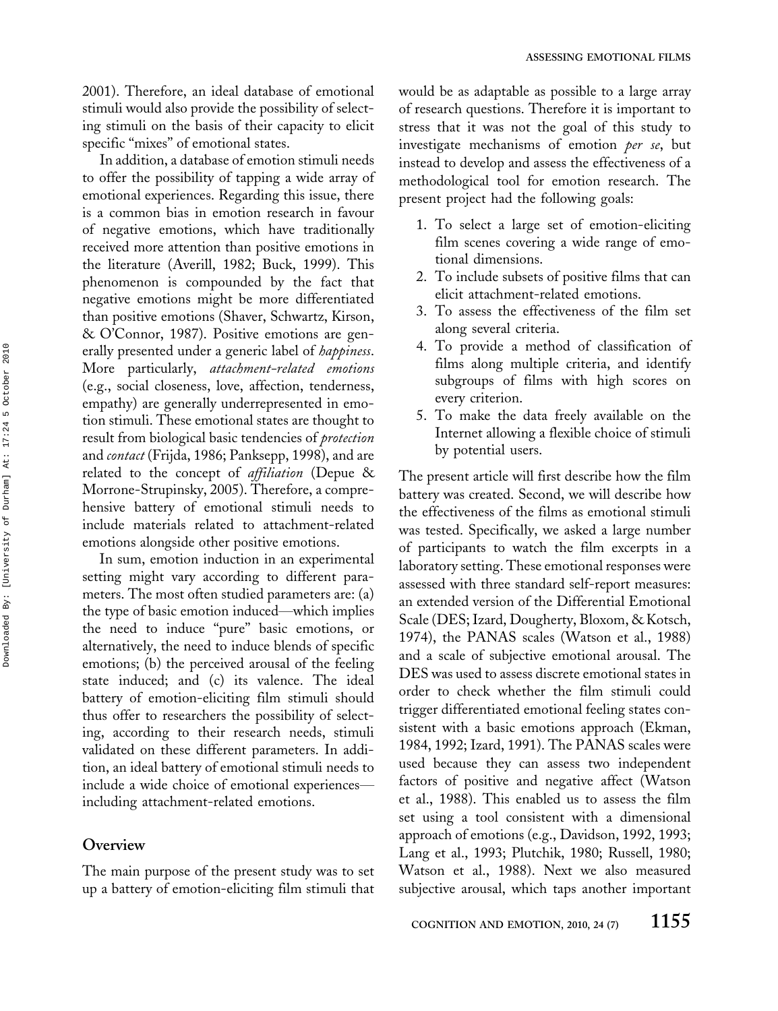2001). Therefore, an ideal database of emotional stimuli would also provide the possibility of selecting stimuli on the basis of their capacity to elicit specific "mixes" of emotional states.

In addition, a database of emotion stimuli needs to offer the possibility of tapping a wide array of emotional experiences. Regarding this issue, there is a common bias in emotion research in favour of negative emotions, which have traditionally received more attention than positive emotions in the literature (Averill, 1982; Buck, 1999). This phenomenon is compounded by the fact that negative emotions might be more differentiated than positive emotions (Shaver, Schwartz, Kirson, & O'Connor, 1987). Positive emotions are generally presented under a generic label of happiness. More particularly, attachment-related emotions (e.g., social closeness, love, affection, tenderness, empathy) are generally underrepresented in emotion stimuli. These emotional states are thought to result from biological basic tendencies of *protection* and *contact* (Frijda, 1986; Panksepp, 1998), and are related to the concept of *affiliation* (Depue  $\&$ Morrone-Strupinsky, 2005). Therefore, a comprehensive battery of emotional stimuli needs to include materials related to attachment-related emotions alongside other positive emotions.

In sum, emotion induction in an experimental setting might vary according to different parameters. The most often studied parameters are: (a) the type of basic emotion induced—which implies the need to induce "pure" basic emotions, or alternatively, the need to induce blends of specific emotions; (b) the perceived arousal of the feeling state induced; and (c) its valence. The ideal battery of emotion-eliciting film stimuli should thus offer to researchers the possibility of selecting, according to their research needs, stimuli validated on these different parameters. In addition, an ideal battery of emotional stimuli needs to include a wide choice of emotional experiencesincluding attachment-related emotions.

#### **Overview**

The main purpose of the present study was to set up a battery of emotion-eliciting film stimuli that would be as adaptable as possible to a large array of research questions. Therefore it is important to stress that it was not the goal of this study to investigate mechanisms of emotion per se, but instead to develop and assess the effectiveness of a methodological tool for emotion research. The present project had the following goals:

- 1. To select a large set of emotion-eliciting film scenes covering a wide range of emotional dimensions.
- 2. To include subsets of positive films that can elicit attachment-related emotions.
- 3. To assess the effectiveness of the film set along several criteria.
- 4. To provide a method of classification of films along multiple criteria, and identify subgroups of films with high scores on every criterion.
- 5. To make the data freely available on the Internet allowing a flexible choice of stimuli by potential users.

The present article will first describe how the film battery was created. Second, we will describe how the effectiveness of the films as emotional stimuli was tested. Specifically, we asked a large number of participants to watch the film excerpts in a laboratory setting. These emotional responses were assessed with three standard self-report measures: an extended version of the Differential Emotional Scale (DES; Izard, Dougherty, Bloxom, & Kotsch, 1974), the PANAS scales (Watson et al., 1988) and a scale of subjective emotional arousal. The DES was used to assess discrete emotional states in order to check whether the film stimuli could trigger differentiated emotional feeling states consistent with a basic emotions approach (Ekman, 1984, 1992; Izard, 1991). The PANAS scales were used because they can assess two independent factors of positive and negative affect (Watson et al., 1988). This enabled us to assess the film set using a tool consistent with a dimensional approach of emotions (e.g., Davidson, 1992, 1993; Lang et al., 1993; Plutchik, 1980; Russell, 1980; Watson et al., 1988). Next we also measured subjective arousal, which taps another important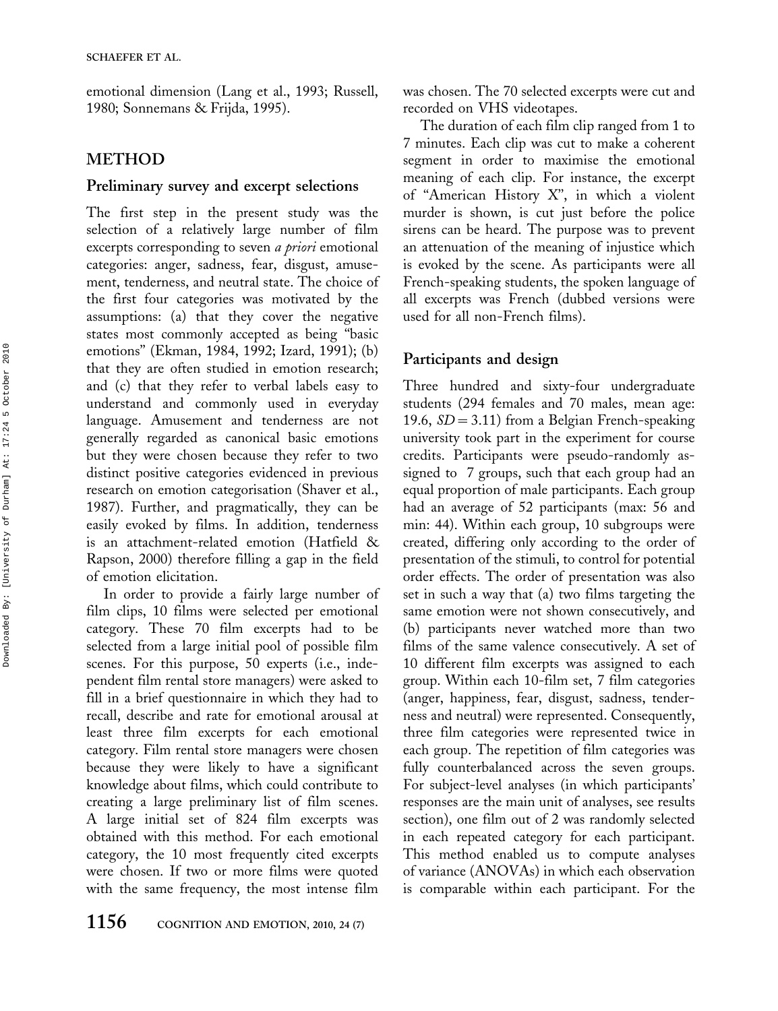emotional dimension (Lang et al., 1993; Russell, 1980; Sonnemans & Frijda, 1995).

# **METHOD**

## Preliminary survey and excerpt selections

The first step in the present study was the selection of a relatively large number of film excerpts corresponding to seven *a priori* emotional categories: anger, sadness, fear, disgust, amusement, tenderness, and neutral state. The choice of the first four categories was motivated by the assumptions: (a) that they cover the negative states most commonly accepted as being ''basic emotions'' (Ekman, 1984, 1992; Izard, 1991); (b) that they are often studied in emotion research; and (c) that they refer to verbal labels easy to understand and commonly used in everyday language. Amusement and tenderness are not generally regarded as canonical basic emotions but they were chosen because they refer to two distinct positive categories evidenced in previous research on emotion categorisation (Shaver et al., 1987). Further, and pragmatically, they can be easily evoked by films. In addition, tenderness is an attachment-related emotion (Hatfield & Rapson, 2000) therefore filling a gap in the field of emotion elicitation.

In order to provide a fairly large number of film clips, 10 films were selected per emotional category. These 70 film excerpts had to be selected from a large initial pool of possible film scenes. For this purpose, 50 experts (i.e., independent film rental store managers) were asked to fill in a brief questionnaire in which they had to recall, describe and rate for emotional arousal at least three film excerpts for each emotional category. Film rental store managers were chosen because they were likely to have a significant knowledge about films, which could contribute to creating a large preliminary list of film scenes. A large initial set of 824 film excerpts was obtained with this method. For each emotional category, the 10 most frequently cited excerpts were chosen. If two or more films were quoted with the same frequency, the most intense film

was chosen. The 70 selected excerpts were cut and recorded on VHS videotapes.

The duration of each film clip ranged from 1 to 7 minutes. Each clip was cut to make a coherent segment in order to maximise the emotional meaning of each clip. For instance, the excerpt of ''American History X'', in which a violent murder is shown, is cut just before the police sirens can be heard. The purpose was to prevent an attenuation of the meaning of injustice which is evoked by the scene. As participants were all French-speaking students, the spoken language of all excerpts was French (dubbed versions were used for all non-French films).

## Participants and design

Three hundred and sixty-four undergraduate students (294 females and 70 males, mean age: 19.6,  $SD = 3.11$ ) from a Belgian French-speaking university took part in the experiment for course credits. Participants were pseudo-randomly assigned to 7 groups, such that each group had an equal proportion of male participants. Each group had an average of 52 participants (max: 56 and min: 44). Within each group, 10 subgroups were created, differing only according to the order of presentation of the stimuli, to control for potential order effects. The order of presentation was also set in such a way that (a) two films targeting the same emotion were not shown consecutively, and (b) participants never watched more than two films of the same valence consecutively. A set of 10 different film excerpts was assigned to each group. Within each 10-film set, 7 film categories (anger, happiness, fear, disgust, sadness, tenderness and neutral) were represented. Consequently, three film categories were represented twice in each group. The repetition of film categories was fully counterbalanced across the seven groups. For subject-level analyses (in which participants' responses are the main unit of analyses, see results section), one film out of 2 was randomly selected in each repeated category for each participant. This method enabled us to compute analyses of variance (ANOVAs) in which each observation is comparable within each participant. For the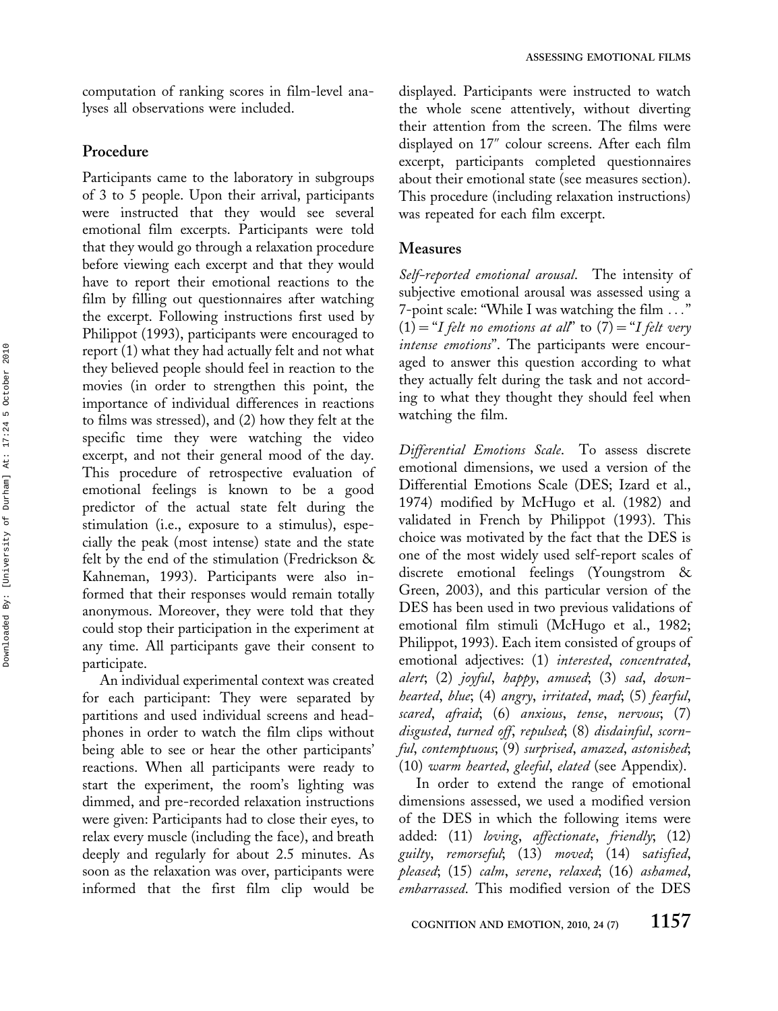computation of ranking scores in film-level analyses all observations were included.

#### Procedure

Participants came to the laboratory in subgroups of 3 to 5 people. Upon their arrival, participants were instructed that they would see several emotional film excerpts. Participants were told that they would go through a relaxation procedure before viewing each excerpt and that they would have to report their emotional reactions to the film by filling out questionnaires after watching the excerpt. Following instructions first used by Philippot (1993), participants were encouraged to report (1) what they had actually felt and not what they believed people should feel in reaction to the movies (in order to strengthen this point, the importance of individual differences in reactions to films was stressed), and (2) how they felt at the specific time they were watching the video excerpt, and not their general mood of the day. This procedure of retrospective evaluation of emotional feelings is known to be a good predictor of the actual state felt during the stimulation (i.e., exposure to a stimulus), especially the peak (most intense) state and the state felt by the end of the stimulation (Fredrickson & Kahneman, 1993). Participants were also informed that their responses would remain totally anonymous. Moreover, they were told that they could stop their participation in the experiment at any time. All participants gave their consent to participate.

An individual experimental context was created for each participant: They were separated by partitions and used individual screens and headphones in order to watch the film clips without being able to see or hear the other participants' reactions. When all participants were ready to start the experiment, the room's lighting was dimmed, and pre-recorded relaxation instructions were given: Participants had to close their eyes, to relax every muscle (including the face), and breath deeply and regularly for about 2.5 minutes. As soon as the relaxation was over, participants were informed that the first film clip would be

displayed. Participants were instructed to watch the whole scene attentively, without diverting their attention from the screen. The films were displayed on 17" colour screens. After each film excerpt, participants completed questionnaires about their emotional state (see measures section). This procedure (including relaxation instructions) was repeated for each film excerpt.

#### Measures

Self-reported emotional arousal. The intensity of subjective emotional arousal was assessed using a 7-point scale: ''While I was watching the film ...''  $(1)$  = "I felt no emotions at all" to  $(7)$  = "I felt very intense emotions". The participants were encouraged to answer this question according to what they actually felt during the task and not according to what they thought they should feel when watching the film.

Differential Emotions Scale. To assess discrete emotional dimensions, we used a version of the Differential Emotions Scale (DES; Izard et al., 1974) modified by McHugo et al. (1982) and validated in French by Philippot (1993). This choice was motivated by the fact that the DES is one of the most widely used self-report scales of discrete emotional feelings (Youngstrom & Green, 2003), and this particular version of the DES has been used in two previous validations of emotional film stimuli (McHugo et al., 1982; Philippot, 1993). Each item consisted of groups of emotional adjectives: (1) interested, concentrated, alert; (2) joyful, happy, amused; (3) sad, downhearted, blue; (4) angry, irritated, mad; (5) fearful, scared, afraid; (6) anxious, tense, nervous; (7) disgusted, turned off, repulsed; (8) disdainful, scornful, contemptuous; (9) surprised, amazed, astonished; (10) warm hearted, gleeful, elated (see Appendix).

In order to extend the range of emotional dimensions assessed, we used a modified version of the DES in which the following items were added: (11) loving, affectionate, friendly; (12) guilty, remorseful; (13) moved; (14) satisfied, pleased; (15) calm, serene, relaxed; (16) ashamed, embarrassed. This modified version of the DES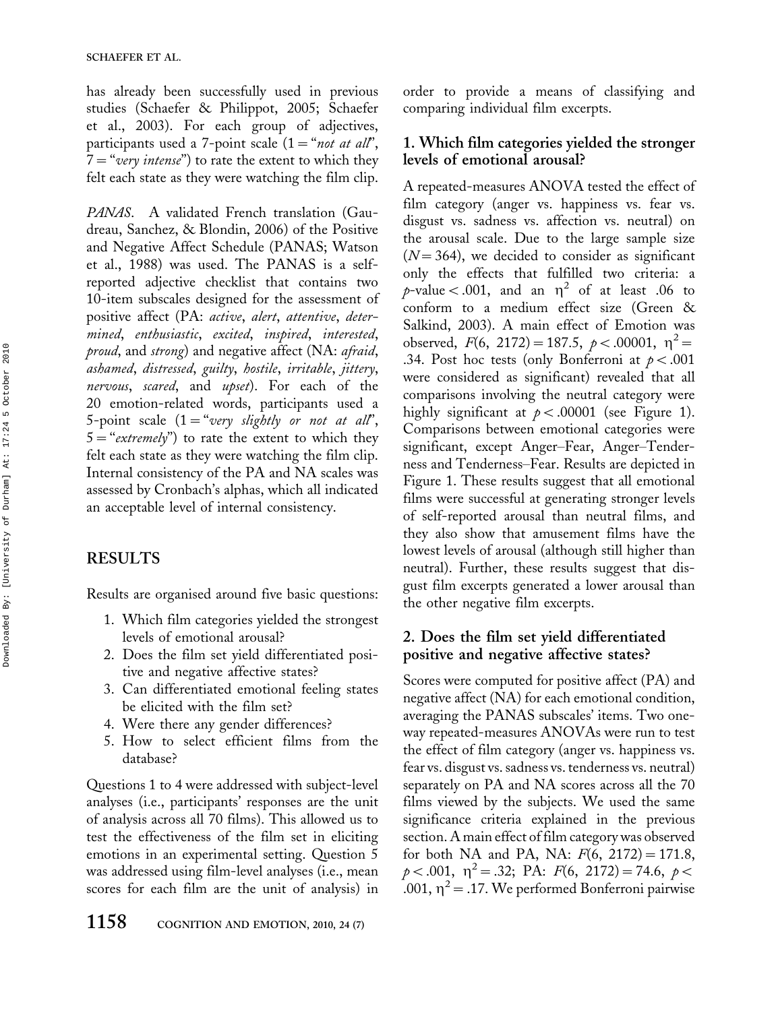has already been successfully used in previous studies (Schaefer & Philippot, 2005; Schaefer et al., 2003). For each group of adjectives, participants used a 7-point scale  $(1="not at all")$ ,  $7'$  = "very intense") to rate the extent to which they felt each state as they were watching the film clip.

PANAS. A validated French translation (Gaudreau, Sanchez, & Blondin, 2006) of the Positive and Negative Affect Schedule (PANAS; Watson et al., 1988) was used. The PANAS is a selfreported adjective checklist that contains two 10-item subscales designed for the assessment of positive affect (PA: active, alert, attentive, determined, enthusiastic, excited, inspired, interested, proud, and strong) and negative affect (NA: afraid, ashamed, distressed, guilty, hostile, irritable, jittery, nervous, scared, and upset). For each of the 20 emotion-related words, participants used a 5-point scale  $(1 = "very slightly or not at all")$  $5 = "extremely")$  to rate the extent to which they felt each state as they were watching the film clip. Internal consistency of the PA and NA scales was assessed by Cronbach's alphas, which all indicated an acceptable level of internal consistency.

## RESULTS

Results are organised around five basic questions:

- 1. Which film categories yielded the strongest levels of emotional arousal?
- 2. Does the film set yield differentiated positive and negative affective states?
- 3. Can differentiated emotional feeling states be elicited with the film set?
- 4. Were there any gender differences?
- 5. How to select efficient films from the database?

Questions 1 to 4 were addressed with subject-level analyses (i.e., participants' responses are the unit of analysis across all 70 films). This allowed us to test the effectiveness of the film set in eliciting emotions in an experimental setting. Question 5 was addressed using film-level analyses (i.e., mean scores for each film are the unit of analysis) in order to provide a means of classifying and comparing individual film excerpts.

## 1. Which film categories yielded the stronger levels of emotional arousal?

A repeated-measures ANOVA tested the effect of film category (anger vs. happiness vs. fear vs. disgust vs. sadness vs. affection vs. neutral) on the arousal scale. Due to the large sample size  $(N=364)$ , we decided to consider as significant only the effects that fulfilled two criteria: a p-value  $< .001$ , and an  $\eta^2$  of at least .06 to conform to a medium effect size (Green & Salkind, 2003). A main effect of Emotion was observed,  $F(6, 2172) = 187.5$ ,  $p < .00001$ ,  $\eta^2 =$ .34. Post hoc tests (only Bonferroni at  $p < .001$ were considered as significant) revealed that all comparisons involving the neutral category were highly significant at  $p < .00001$  (see Figure 1). Comparisons between emotional categories were significant, except Anger-Fear, Anger-Tenderness and Tenderness-Fear. Results are depicted in Figure 1. These results suggest that all emotional films were successful at generating stronger levels of self-reported arousal than neutral films, and they also show that amusement films have the lowest levels of arousal (although still higher than neutral). Further, these results suggest that disgust film excerpts generated a lower arousal than the other negative film excerpts.

## 2. Does the film set yield differentiated positive and negative affective states?

Scores were computed for positive affect (PA) and negative affect (NA) for each emotional condition, averaging the PANAS subscales' items. Two oneway repeated-measures ANOVAs were run to test the effect of film category (anger vs. happiness vs. fear vs. disgust vs. sadness vs. tenderness vs. neutral) separately on PA and NA scores across all the 70 films viewed by the subjects. We used the same significance criteria explained in the previous section. A main effect of film category was observed for both NA and PA, NA:  $F(6, 2172) = 171.8$ ,  $p < .001$ ,  $\eta^2 = .32$ ; PA:  $F(6, 2172) = 74.6$ ,  $p <$ .001,  $\eta^2$  = .17. We performed Bonferroni pairwise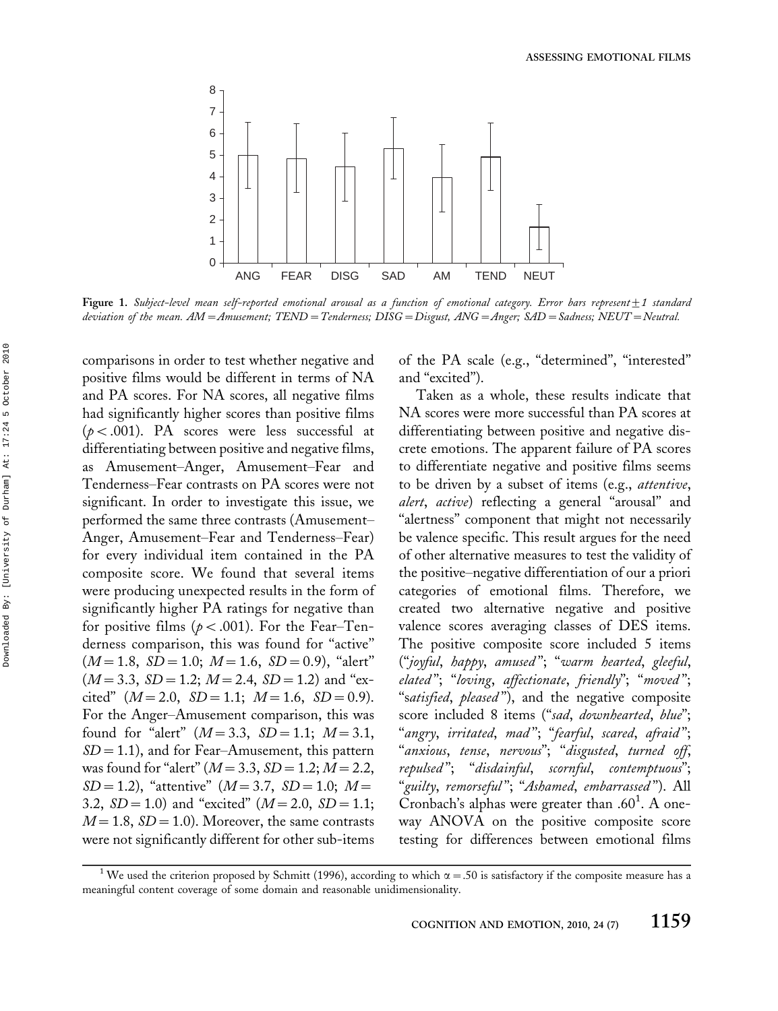

Figure 1. Subject-level mean self-reported emotional arousal as a function of emotional category. Error bars represent  $\pm 1$  standard deviation of the mean.  $AM = Amusement$ ;  $TEND = Tenderness$ ;  $DISG = Digust$ ,  $ANG = Anger$ ;  $SAD = Sadness$ ;  $NEUT = Neutral$ .

comparisons in order to test whether negative and positive films would be different in terms of NA and PA scores. For NA scores, all negative films had significantly higher scores than positive films  $(p<.001)$ . PA scores were less successful at differentiating between positive and negative films, as Amusement-Anger, Amusement-Fear and Tenderness-Fear contrasts on PA scores were not significant. In order to investigate this issue, we performed the same three contrasts (Amusement Anger, Amusement–Fear and Tenderness–Fear) for every individual item contained in the PA composite score. We found that several items were producing unexpected results in the form of significantly higher PA ratings for negative than for positive films ( $p < .001$ ). For the Fear-Tenderness comparison, this was found for ''active''  $(M=1.8, SD=1.0; M=1.6, SD=0.9)$ , "alert"  $(M=3.3, SD=1.2; M=2.4, SD=1.2)$  and "excited"  $(M=2.0, SD=1.1; M=1.6, SD=0.9)$ . For the Anger-Amusement comparison, this was found for "alert"  $(M=3.3, SD=1.1; M=3.1,$  $SD = 1.1$ ), and for Fear-Amusement, this pattern was found for "alert"  $(M=3.3, SD=1.2; M=2.2,$  $SD = 1.2$ ), "attentive" ( $M = 3.7$ ,  $SD = 1.0$ ;  $M =$ 3.2,  $SD = 1.0$ ) and "excited" ( $M = 2.0$ ,  $SD = 1.1$ ;  $M=1.8$ ,  $SD=1.0$ ). Moreover, the same contrasts were not significantly different for other sub-items

of the PA scale (e.g., "determined", "interested" and "excited").

Taken as a whole, these results indicate that NA scores were more successful than PA scores at differentiating between positive and negative discrete emotions. The apparent failure of PA scores to differentiate negative and positive films seems to be driven by a subset of items (e.g., attentive, alert, active) reflecting a general "arousal" and "alertness" component that might not necessarily be valence specific. This result argues for the need of other alternative measures to test the validity of the positive–negative differentiation of our a priori categories of emotional films. Therefore, we created two alternative negative and positive valence scores averaging classes of DES items. The positive composite score included 5 items (''joyful, happy, amused ''; ''warm hearted, gleeful, elated ''; ''loving, affectionate, friendly''; ''moved ''; "satisfied, pleased"), and the negative composite score included 8 items ("sad, downhearted, blue"; ''angry, irritated, mad ''; ''fearful, scared, afraid ''; ''anxious, tense, nervous''; ''disgusted, turned off, repulsed ''; ''disdainful, scornful, contemptuous''; "guilty, remorseful"; "Ashamed, embarrassed"). All Cronbach's alphas were greater than .60 $^1$ . A oneway ANOVA on the positive composite score testing for differences between emotional films

<sup>&</sup>lt;sup>1</sup> We used the criterion proposed by Schmitt (1996), according to which  $\alpha$  = .50 is satisfactory if the composite measure has a meaningful content coverage of some domain and reasonable unidimensionality.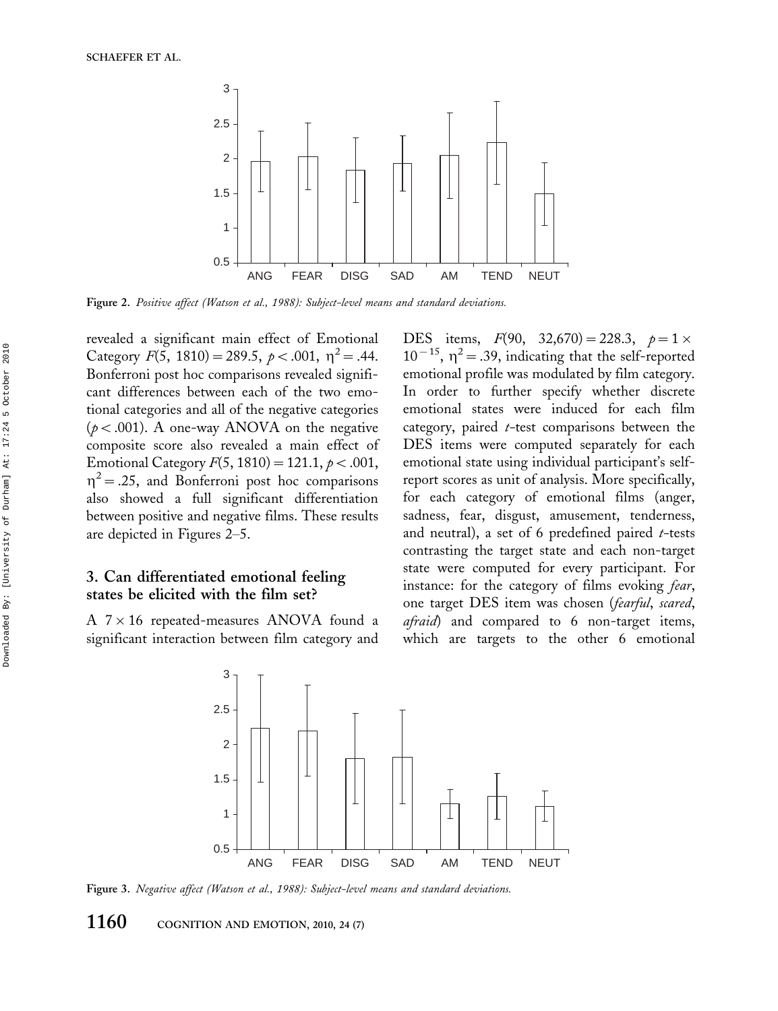

Figure 2. Positive affect (Watson et al., 1988): Subject-level means and standard deviations.

revealed a significant main effect of Emotional Category  $F(5, 1810) = 289.5$ ,  $p < .001$ ,  $\eta^2 = .44$ . Bonferroni post hoc comparisons revealed significant differences between each of the two emotional categories and all of the negative categories  $(p < .001)$ . A one-way ANOVA on the negative composite score also revealed a main effect of Emotional Category  $F(5, 1810) = 121.1, \rho < .001$ ,  $\eta^2$  = .25, and Bonferroni post hoc comparisons also showed a full significant differentiation between positive and negative films. These results are depicted in Figures 2–5.

## 3. Can differentiated emotional feeling states be elicited with the film set?

A  $7 \times 16$  repeated-measures ANOVA found a significant interaction between film category and DES items,  $F(90, 32,670) = 228.3, p=1 \times$  $10^{-15}$ ,  $\eta^2 = .39$ , indicating that the self-reported emotional profile was modulated by film category. In order to further specify whether discrete emotional states were induced for each film category, paired  $t$ -test comparisons between the DES items were computed separately for each emotional state using individual participant's selfreport scores as unit of analysis. More specifically, for each category of emotional films (anger, sadness, fear, disgust, amusement, tenderness, and neutral), a set of 6 predefined paired  $t$ -tests contrasting the target state and each non-target state were computed for every participant. For instance: for the category of films evoking *fear*, one target DES item was chosen (fearful, scared, afraid) and compared to 6 non-target items, which are targets to the other 6 emotional



Figure 3. Negative affect (Watson et al., 1988): Subject-level means and standard deviations.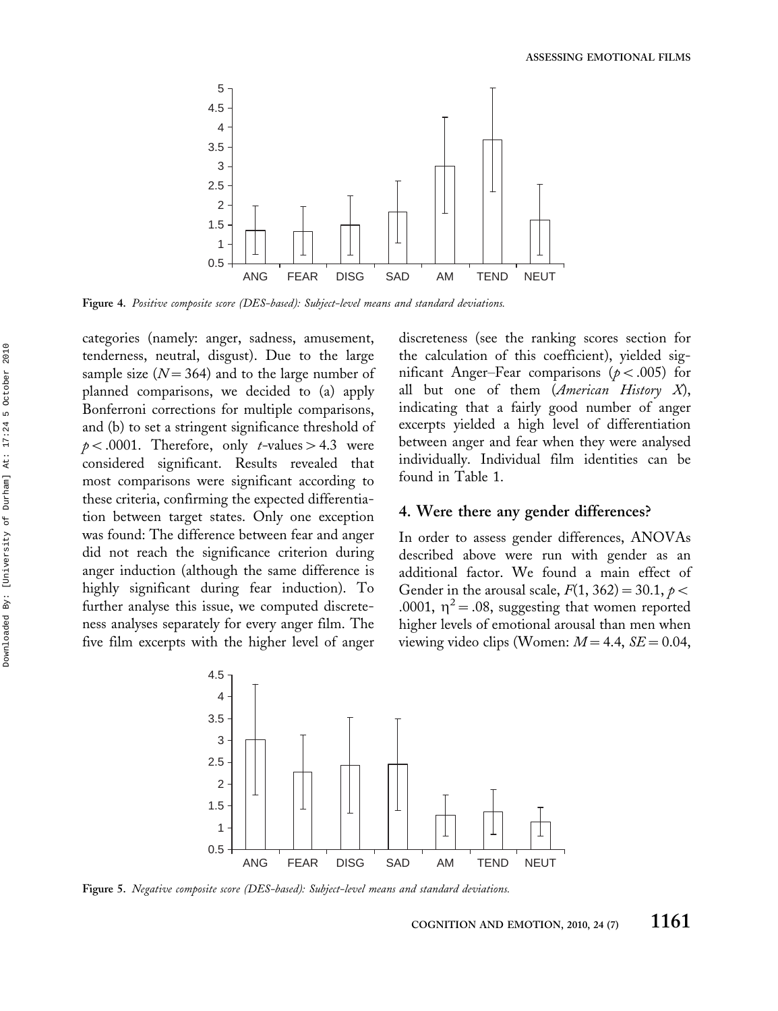

Figure 4. Positive composite score (DES-based): Subject-level means and standard deviations.

categories (namely: anger, sadness, amusement, tenderness, neutral, disgust). Due to the large sample size ( $N=364$ ) and to the large number of planned comparisons, we decided to (a) apply Bonferroni corrections for multiple comparisons, and (b) to set a stringent significance threshold of  $p < .0001$ . Therefore, only *t*-values > 4.3 were considered significant. Results revealed that most comparisons were significant according to these criteria, confirming the expected differentiation between target states. Only one exception was found: The difference between fear and anger did not reach the significance criterion during anger induction (although the same difference is highly significant during fear induction). To further analyse this issue, we computed discreteness analyses separately for every anger film. The five film excerpts with the higher level of anger discreteness (see the ranking scores section for the calculation of this coefficient), yielded significant Anger-Fear comparisons ( $p < .005$ ) for all but one of them  $(American History X)$ , indicating that a fairly good number of anger excerpts yielded a high level of differentiation between anger and fear when they were analysed individually. Individual film identities can be found in Table 1.

#### 4. Were there any gender differences?

In order to assess gender differences, ANOVAs described above were run with gender as an additional factor. We found a main effect of Gender in the arousal scale,  $F(1, 362) = 30.1, p <$ .0001,  $\eta^2 = .08$ , suggesting that women reported higher levels of emotional arousal than men when viewing video clips (Women:  $M=4.4$ ,  $SE=0.04$ ,



Figure 5. Negative composite score (DES-based): Subject-level means and standard deviations.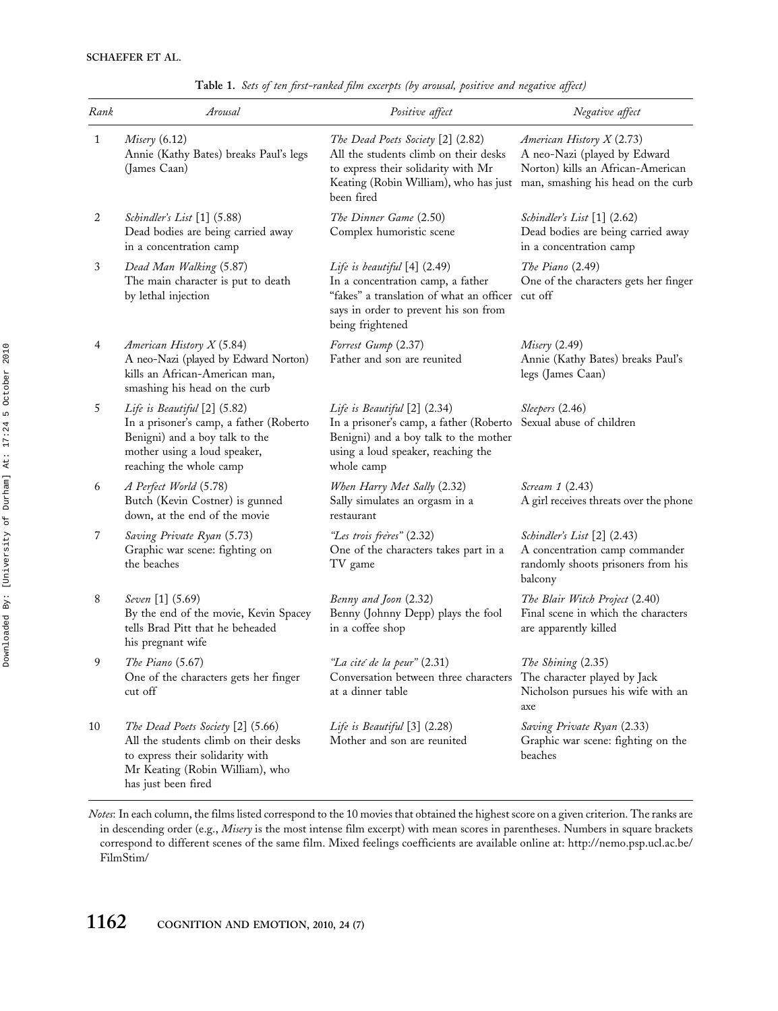| Rank         | Arousal                                                                                                                                                                                     | Positive affect                                                                                                                                                                                             | Negative affect                                                                                                    |  |
|--------------|---------------------------------------------------------------------------------------------------------------------------------------------------------------------------------------------|-------------------------------------------------------------------------------------------------------------------------------------------------------------------------------------------------------------|--------------------------------------------------------------------------------------------------------------------|--|
| $\mathbf{1}$ | $M$ <i>isery</i> $(6.12)$<br>Annie (Kathy Bates) breaks Paul's legs<br>(James Caan)                                                                                                         | The Dead Poets Society [2] (2.82)<br>All the students climb on their desks<br>to express their solidarity with Mr<br>Keating (Robin William), who has just man, smashing his head on the curb<br>been fired | American History X (2.73)<br>A neo-Nazi (played by Edward<br>Norton) kills an African-American                     |  |
| 2            | Schindler's List [1] (5.88)<br>Dead bodies are being carried away<br>in a concentration camp                                                                                                | The Dinner Game (2.50)<br>Complex humoristic scene                                                                                                                                                          | Schindler's List $[1]$ $(2.62)$<br>Dead bodies are being carried away<br>in a concentration camp                   |  |
| 3            | Dead Man Walking (5.87)<br>The main character is put to death<br>by lethal injection                                                                                                        | Life is beautiful [4] (2.49)<br>In a concentration camp, a father<br>"fakes" a translation of what an officer cut off<br>says in order to prevent his son from<br>being frightened                          | The Piano (2.49)<br>One of the characters gets her finger                                                          |  |
| 4            | American History X (5.84)<br>A neo-Nazi (played by Edward Norton)<br>kills an African-American man,<br>smashing his head on the curb                                                        | Forrest Gump (2.37)<br>Father and son are reunited                                                                                                                                                          | <i>Misery</i> (2.49)<br>Annie (Kathy Bates) breaks Paul's<br>legs (James Caan)                                     |  |
| 5            | <i>Life is Beautiful</i> $\lfloor 2 \rfloor$ (5.82)<br>In a prisoner's camp, a father (Roberto<br>Benigni) and a boy talk to the<br>mother using a loud speaker,<br>reaching the whole camp | Life is Beautiful $[2]$ $(2.34)$<br>In a prisoner's camp, a father (Roberto Sexual abuse of children<br>Benigni) and a boy talk to the mother<br>using a loud speaker, reaching the<br>whole camp           | Sleepers (2.46)                                                                                                    |  |
| 6            | A Perfect World (5.78)<br>Butch (Kevin Costner) is gunned<br>down, at the end of the movie                                                                                                  | When Harry Met Sally (2.32)<br>Sally simulates an orgasm in a<br>restaurant                                                                                                                                 | Scream 1 (2.43)<br>A girl receives threats over the phone                                                          |  |
| 7            | Saving Private Ryan (5.73)<br>Graphic war scene: fighting on<br>the beaches                                                                                                                 | "Les trois frères" (2.32)<br>One of the characters takes part in a<br>TV game                                                                                                                               | Schindler's List $[2]$ $(2.43)$<br>A concentration camp commander<br>randomly shoots prisoners from his<br>balcony |  |
| 8            | Seven [1] (5.69)<br>By the end of the movie, Kevin Spacey<br>tells Brad Pitt that he beheaded<br>his pregnant wife                                                                          | Benny and Joon (2.32)<br>Benny (Johnny Depp) plays the fool<br>in a coffee shop                                                                                                                             | The Blair Witch Project (2.40)<br>Final scene in which the characters<br>are apparently killed                     |  |
| 9            | The Piano (5.67)<br>One of the characters gets her finger<br>cut off                                                                                                                        | "La cité de la peur" (2.31)<br>Conversation between three characters The character played by Jack<br>at a dinner table                                                                                      | The Shining (2.35)<br>Nicholson pursues his wife with an<br>axe                                                    |  |
| 10           | The Dead Poets Society [2] (5.66)<br>All the students climb on their desks<br>to express their solidarity with<br>Mr Keating (Robin William), who<br>has just been fired                    | Life is Beautiful [3] (2.28)<br>Mother and son are reunited                                                                                                                                                 | Saving Private Ryan (2.33)<br>Graphic war scene: fighting on the<br>beaches                                        |  |

Table 1. Sets of ten first-ranked film excerpts (by arousal, positive and negative affect)

Notes: In each column, the films listed correspond to the 10 movies that obtained the highest score on a given criterion. The ranks are in descending order (e.g., Misery is the most intense film excerpt) with mean scores in parentheses. Numbers in square brackets correspond to different scenes of the same film. Mixed feelings coefficients are available online at: [http://nemo.psp.ucl.ac.be/](http://nemo.psp.ucl.ac.be/FilmStim/) [FilmStim/](http://nemo.psp.ucl.ac.be/FilmStim/)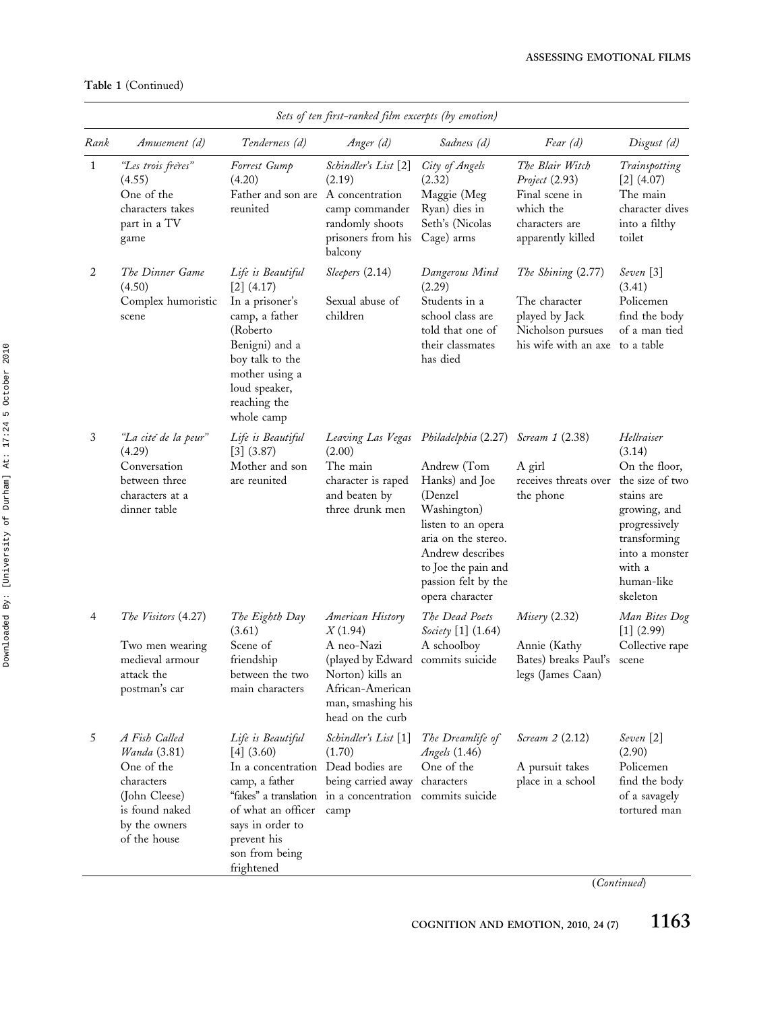| Sets of ten first-ranked film excerpts (by emotion) |                                                                                                                                      |                                                                                                                                                                                           |                                                                                                                                                 |                                                                                                                                                                                                                                                    |                                                                                                               |                                                                                                                                                                               |
|-----------------------------------------------------|--------------------------------------------------------------------------------------------------------------------------------------|-------------------------------------------------------------------------------------------------------------------------------------------------------------------------------------------|-------------------------------------------------------------------------------------------------------------------------------------------------|----------------------------------------------------------------------------------------------------------------------------------------------------------------------------------------------------------------------------------------------------|---------------------------------------------------------------------------------------------------------------|-------------------------------------------------------------------------------------------------------------------------------------------------------------------------------|
| Rank                                                | Amusement (d)                                                                                                                        | Tenderness (d)                                                                                                                                                                            | Anger (d)                                                                                                                                       | Sadness (d)                                                                                                                                                                                                                                        | Fear (d)                                                                                                      | Disgust (d)                                                                                                                                                                   |
| $\mathbf{1}$                                        | "Les trois frères"<br>(4.55)<br>One of the<br>characters takes<br>part in a TV<br>game                                               | Forrest Gump<br>(4.20)<br>Father and son are A concentration<br>reunited                                                                                                                  | Schindler's List [2]<br>(2.19)<br>camp commander<br>randomly shoots<br>prisoners from his<br>balcony                                            | City of Angels<br>(2.32)<br>Maggie (Meg<br>Ryan) dies in<br>Seth's (Nicolas<br>Cage) arms                                                                                                                                                          | The Blair Witch<br>Project (2.93)<br>Final scene in<br>which the<br>characters are<br>apparently killed       | Trainspotting<br>$[2]$ (4.07)<br>The main<br>character dives<br>into a filthy<br>toilet                                                                                       |
| 2                                                   | The Dinner Game<br>(4.50)<br>Complex humoristic<br>scene                                                                             | Life is Beautiful<br>$[2]$ (4.17)<br>In a prisoner's<br>camp, a father<br>(Roberto)<br>Benigni) and a<br>boy talk to the<br>mother using a<br>loud speaker,<br>reaching the<br>whole camp | Sleepers (2.14)<br>Sexual abuse of<br>children                                                                                                  | Dangerous Mind<br>(2.29)<br>Students in a<br>school class are<br>told that one of<br>their classmates<br>has died                                                                                                                                  | The Shining (2.77)<br>The character<br>played by Jack<br>Nicholson pursues<br>his wife with an axe to a table | $Seven \lfloor 3 \rfloor(3.41)Policemenfind the bodyof a man tied$                                                                                                            |
| 3                                                   | "La cité de la peur"<br>(4.29)<br>Conversation<br>between three<br>characters at a<br>dinner table                                   | Life is Beautiful<br>$\left[3\right]$ (3.87)<br>Mother and son<br>are reunited                                                                                                            | (2.00)<br>The main<br>character is raped<br>and beaten by<br>three drunk men                                                                    | Leaving Las Vegas Philadelphia (2.27) Scream 1 (2.38)<br>Andrew (Tom<br>Hanks) and Joe<br>(Denzel<br>Washington)<br>listen to an opera<br>aria on the stereo.<br>Andrew describes<br>to Joe the pain and<br>passion felt by the<br>opera character | A girl<br>receives threats over<br>the phone                                                                  | Hellraiser<br>(3.14)<br>On the floor,<br>the size of two<br>stains are<br>growing, and<br>progressively<br>transforming<br>into a monster<br>with a<br>human-like<br>skeleton |
| 4                                                   | The Visitors (4.27)<br>Two men wearing<br>medieval armour<br>attack the<br>postman's car                                             | The Eighth Day<br>(3.61)<br>Scene of<br>friendship<br>between the two<br>main characters                                                                                                  | American History<br>X(1.94)<br>A neo-Nazi<br>(played by Edward<br>Norton) kills an<br>African-American<br>man, smashing his<br>head on the curb | The Dead Poets<br>Society [1] (1.64)<br>A schoolboy<br>commits suicide                                                                                                                                                                             | Misery (2.32)<br>Annie (Kathy<br>Bates) breaks Paul's<br>legs (James Caan)                                    | Man Bites Dog<br>$[1]$ (2.99)<br>Collective rape<br>scene                                                                                                                     |
| 5                                                   | A Fish Called<br><i>Wanda</i> (3.81)<br>One of the<br>characters<br>(John Cleese)<br>is found naked<br>by the owners<br>of the house | Life is Beautiful<br>$[4]$ (3.60)<br>In a concentration Dead bodies are<br>camp, a father<br>of what an officer camp<br>says in order to<br>prevent his<br>son from being<br>frightened   | Schindler's List [1]<br>(1.70)<br>being carried away characters<br>"fakes" a translation in a concentration commits suicide                     | The Dreamlife of<br>Angels (1.46)<br>One of the                                                                                                                                                                                                    | Scream 2 (2.12)<br>A pursuit takes<br>place in a school                                                       | $Seven \; 2]$<br>(2.90)<br>Policemen<br>find the body<br>of a savagely<br>tortured man                                                                                        |

|  | Table 1 (Continued) |  |
|--|---------------------|--|
|--|---------------------|--|

(Continued)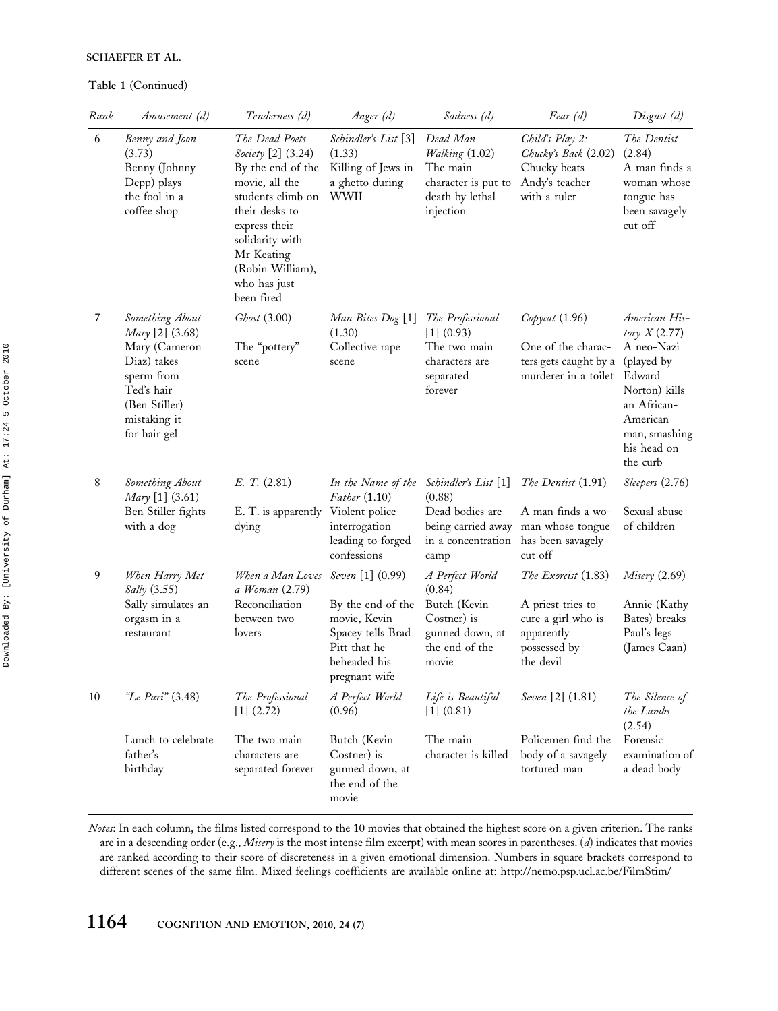#### SCHAEFER ET AL.

Table 1 (Continued)

| Rank | Amusement (d)                                                                                                                                              | Tenderness (d)                                                                                                                                                                                                           | Anger (d)                                                                                                                   | Sadness (d)                                                                                            | Fear (d)                                                                                                  | Disgust (d)                                                                                                                                                   |
|------|------------------------------------------------------------------------------------------------------------------------------------------------------------|--------------------------------------------------------------------------------------------------------------------------------------------------------------------------------------------------------------------------|-----------------------------------------------------------------------------------------------------------------------------|--------------------------------------------------------------------------------------------------------|-----------------------------------------------------------------------------------------------------------|---------------------------------------------------------------------------------------------------------------------------------------------------------------|
| 6    | Benny and Joon<br>(3.73)<br>Benny (Johnny<br>Depp) plays<br>the fool in a<br>coffee shop                                                                   | The Dead Poets<br>Society $[2]$ (3.24)<br>By the end of the<br>movie, all the<br>students climb on<br>their desks to<br>express their<br>solidarity with<br>Mr Keating<br>(Robin William),<br>who has just<br>been fired | Schindler's List [3]<br>(1.33)<br>Killing of Jews in<br>a ghetto during<br>WWII                                             | Dead Man<br>Walking (1.02)<br>The main<br>character is put to<br>death by lethal<br>injection          | Child's Play 2:<br>Chucky's Back $(2.02)$<br>Chucky beats<br>Andy's teacher<br>with a ruler               | The Dentist<br>(2.84)<br>A man finds a<br>woman whose<br>tongue has<br>been savagely<br>cut off                                                               |
| 7    | Something About<br><i>Mary</i> $[2]$ $(3.68)$<br>Mary (Cameron<br>Diaz) takes<br>sperm from<br>Ted's hair<br>(Ben Stiller)<br>mistaking it<br>for hair gel | $G$ host $(3.00)$<br>The "pottery"<br>scene                                                                                                                                                                              | Man Bites Dog [1]<br>(1.30)<br>Collective rape<br>scene                                                                     | The Professional<br>$\lceil 1 \rceil$ (0.93)<br>The two main<br>characters are<br>separated<br>forever | Copycat (1.96)<br>One of the charac-<br>ters gets caught by a<br>murderer in a toilet                     | American His-<br>tory $X(2.77)$<br>A neo-Nazi<br>(played by<br>Edward<br>Norton) kills<br>an African-<br>American<br>man, smashing<br>his head on<br>the curb |
| 8    | Something About<br><i>Mary</i> [1] (3.61)<br>Ben Stiller fights<br>with a dog                                                                              | E. T. (2.81)<br>E. T. is apparently Violent police<br>dying                                                                                                                                                              | In the Name of the<br><i>Father</i> (1.10)<br>interrogation<br>leading to forged<br>confessions                             | Schindler's List [1]<br>(0.88)<br>Dead bodies are<br>being carried away<br>in a concentration<br>camp  | The Dentist (1.91)<br>A man finds a wo-<br>man whose tongue<br>has been savagely<br>cut off               | Sleepers (2.76)<br>Sexual abuse<br>of children                                                                                                                |
| 9    | When Harry Met<br>Sally (3.55)<br>Sally simulates an<br>orgasm in a<br>restaurant                                                                          | When a Man Loves<br>a Woman (2.79)<br>Reconciliation<br>between two<br>lovers                                                                                                                                            | Seven [1] (0.99)<br>By the end of the<br>movie, Kevin<br>Spacey tells Brad<br>Pitt that he<br>beheaded his<br>pregnant wife | A Perfect World<br>(0.84)<br>Butch (Kevin<br>Costner) is<br>gunned down, at<br>the end of the<br>movie | The Exorcist (1.83)<br>A priest tries to<br>cure a girl who is<br>apparently<br>possessed by<br>the devil | Misery(2.69)<br>Annie (Kathy<br>Bates) breaks<br>Paul's legs<br>(James Caan)                                                                                  |
| 10   | "Le Pari" (3.48)<br>Lunch to celebrate<br>father's<br>birthday                                                                                             | The Professional<br>$[1]$ $(2.72)$<br>The two main<br>characters are<br>separated forever                                                                                                                                | A Perfect World<br>(0.96)<br>Butch (Kevin<br>Costner) is<br>gunned down, at<br>the end of the<br>movie                      | Life is Beautiful<br>[1] (0.81)<br>The main<br>character is killed                                     | Seven [2] (1.81)<br>Policemen find the<br>body of a savagely<br>tortured man                              | The Silence of<br>the Lambs<br>(2.54)<br>Forensic<br>examination of<br>a dead body                                                                            |

Notes: In each column, the films listed correspond to the 10 movies that obtained the highest score on a given criterion. The ranks are in a descending order (e.g., Misery is the most intense film excerpt) with mean scores in parentheses. (d) indicates that movies are ranked according to their score of discreteness in a given emotional dimension. Numbers in square brackets correspond to different scenes of the same film. Mixed feelings coefficients are available online at:<http://nemo.psp.ucl.ac.be/FilmStim/>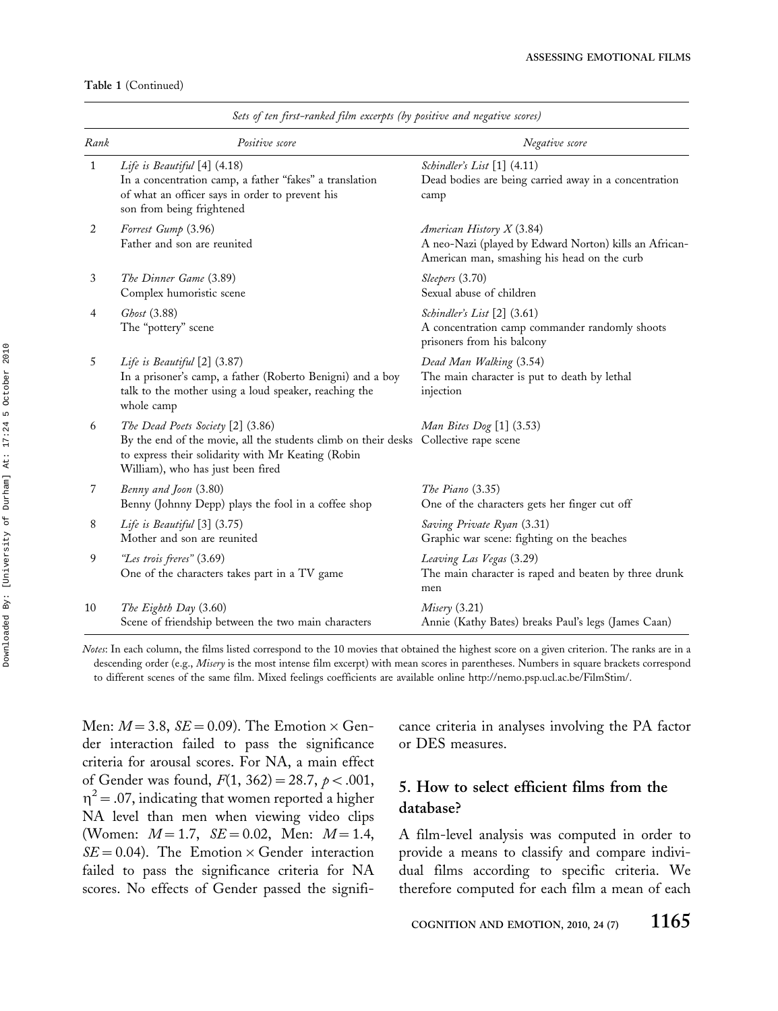#### Table 1 (Continued)

| Rank         | Positive score                                                                                                                                                                                                       | Negative score                                                                                                                     |
|--------------|----------------------------------------------------------------------------------------------------------------------------------------------------------------------------------------------------------------------|------------------------------------------------------------------------------------------------------------------------------------|
| $\mathbf{1}$ | Life is Beautiful $[4]$ (4.18)<br>In a concentration camp, a father "fakes" a translation<br>of what an officer says in order to prevent his<br>son from being frightened                                            | Schindler's List $[1]$ (4.11)<br>Dead bodies are being carried away in a concentration<br>camp                                     |
| 2            | Forrest Gump (3.96)<br>Father and son are reunited                                                                                                                                                                   | American History X (3.84)<br>A neo-Nazi (played by Edward Norton) kills an African-<br>American man, smashing his head on the curb |
| 3            | The Dinner Game (3.89)<br>Complex humoristic scene                                                                                                                                                                   | Sleepers (3.70)<br>Sexual abuse of children                                                                                        |
| 4            | $G$ <i>host</i> $(3.88)$<br>The "pottery" scene                                                                                                                                                                      | Schindler's List [2] (3.61)<br>A concentration camp commander randomly shoots<br>prisoners from his balcony                        |
| 5            | Life is Beautiful $[2]$ $(3.87)$<br>In a prisoner's camp, a father (Roberto Benigni) and a boy<br>talk to the mother using a loud speaker, reaching the<br>whole camp                                                | Dead Man Walking (3.54)<br>The main character is put to death by lethal<br>injection                                               |
| 6            | The Dead Poets Society [2] (3.86)<br>By the end of the movie, all the students climb on their desks Collective rape scene<br>to express their solidarity with Mr Keating (Robin<br>William), who has just been fired | Man Bites Dog $[1]$ (3.53)                                                                                                         |
| 7            | Benny and Joon (3.80)<br>Benny (Johnny Depp) plays the fool in a coffee shop                                                                                                                                         | The Piano (3.35)<br>One of the characters gets her finger cut off                                                                  |
| 8            | Life is Beautiful $[3]$ $(3.75)$<br>Mother and son are reunited                                                                                                                                                      | Saving Private Ryan (3.31)<br>Graphic war scene: fighting on the beaches                                                           |
| 9            | "Les trois freres" (3.69)<br>One of the characters takes part in a TV game                                                                                                                                           | Leaving Las Vegas (3.29)<br>The main character is raped and beaten by three drunk<br>men                                           |
| 10           | The Eighth Day (3.60)<br>Scene of friendship between the two main characters                                                                                                                                         | Miserv(3.21)<br>Annie (Kathy Bates) breaks Paul's legs (James Caan)                                                                |

Sets of ten first-ranked film excerpts (by positive and negative scores)

Notes: In each column, the films listed correspond to the 10 movies that obtained the highest score on a given criterion. The ranks are in a descending order (e.g., Misery is the most intense film excerpt) with mean scores in parentheses. Numbers in square brackets correspond to different scenes of the same film. Mixed feelings coefficients are available online [http://nemo.psp.ucl.ac.be/FilmStim/.](http://nemo.psp.ucl.ac.be/FilmStim/)

Men:  $M = 3.8$ ,  $SE = 0.09$ ). The Emotion  $\times$  Gender interaction failed to pass the significance criteria for arousal scores. For NA, a main effect of Gender was found,  $F(1, 362) = 28.7$ ,  $p < .001$ ,  $\eta^2$  = .07, indicating that women reported a higher NA level than men when viewing video clips (Women:  $M=1.7$ ,  $SE=0.02$ , Men:  $M=1.4$ ,  $SE = 0.04$ . The Emotion  $\times$  Gender interaction failed to pass the significance criteria for NA scores. No effects of Gender passed the significance criteria in analyses involving the PA factor or DES measures.

# 5. How to select efficient films from the database?

A film-level analysis was computed in order to provide a means to classify and compare individual films according to specific criteria. We therefore computed for each film a mean of each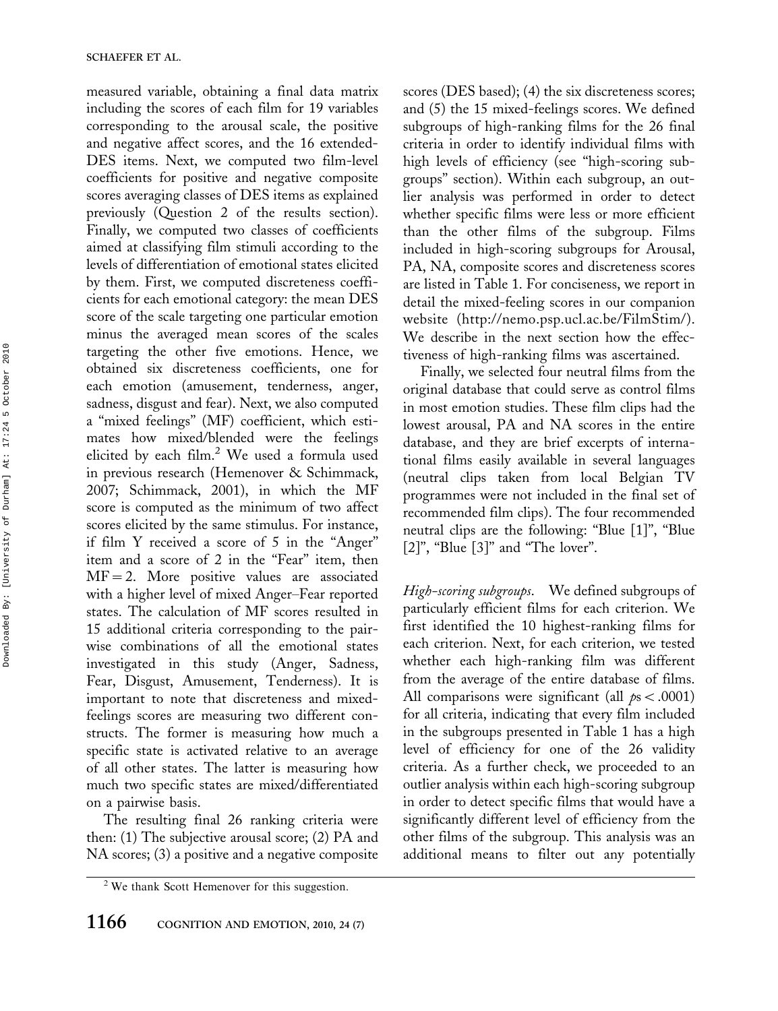measured variable, obtaining a final data matrix including the scores of each film for 19 variables corresponding to the arousal scale, the positive and negative affect scores, and the 16 extended-DES items. Next, we computed two film-level coefficients for positive and negative composite scores averaging classes of DES items as explained previously (Question 2 of the results section). Finally, we computed two classes of coefficients aimed at classifying film stimuli according to the levels of differentiation of emotional states elicited by them. First, we computed discreteness coefficients for each emotional category: the mean DES score of the scale targeting one particular emotion minus the averaged mean scores of the scales targeting the other five emotions. Hence, we obtained six discreteness coefficients, one for each emotion (amusement, tenderness, anger, sadness, disgust and fear). Next, we also computed a ''mixed feelings'' (MF) coefficient, which estimates how mixed/blended were the feelings elicited by each film. $2$  We used a formula used in previous research (Hemenover & Schimmack, 2007; Schimmack, 2001), in which the MF score is computed as the minimum of two affect scores elicited by the same stimulus. For instance, if film Y received a score of 5 in the ''Anger'' item and a score of 2 in the "Fear" item, then  $MF=2$ . More positive values are associated with a higher level of mixed Anger-Fear reported states. The calculation of MF scores resulted in 15 additional criteria corresponding to the pairwise combinations of all the emotional states investigated in this study (Anger, Sadness, Fear, Disgust, Amusement, Tenderness). It is important to note that discreteness and mixedfeelings scores are measuring two different constructs. The former is measuring how much a specific state is activated relative to an average of all other states. The latter is measuring how much two specific states are mixed/differentiated on a pairwise basis.

The resulting final 26 ranking criteria were then: (1) The subjective arousal score; (2) PA and NA scores; (3) a positive and a negative composite

scores (DES based); (4) the six discreteness scores; and (5) the 15 mixed-feelings scores. We defined subgroups of high-ranking films for the 26 final criteria in order to identify individual films with high levels of efficiency (see "high-scoring subgroups'' section). Within each subgroup, an outlier analysis was performed in order to detect whether specific films were less or more efficient than the other films of the subgroup. Films included in high-scoring subgroups for Arousal, PA, NA, composite scores and discreteness scores are listed in Table 1. For conciseness, we report in detail the mixed-feeling scores in our companion website [\(http://nemo.psp.ucl.ac.be/FilmStim/](http://nemo.psp.ucl.ac.be/FilmStim/)). We describe in the next section how the effectiveness of high-ranking films was ascertained.

Finally, we selected four neutral films from the original database that could serve as control films in most emotion studies. These film clips had the lowest arousal, PA and NA scores in the entire database, and they are brief excerpts of international films easily available in several languages (neutral clips taken from local Belgian TV programmes were not included in the final set of recommended film clips). The four recommended neutral clips are the following: ''Blue [1]'', ''Blue  $[2]$ ", "Blue  $[3]$ " and "The lover".

High-scoring subgroups. We defined subgroups of particularly efficient films for each criterion. We first identified the 10 highest-ranking films for each criterion. Next, for each criterion, we tested whether each high-ranking film was different from the average of the entire database of films. All comparisons were significant (all  $ps < .0001$ ) for all criteria, indicating that every film included in the subgroups presented in Table 1 has a high level of efficiency for one of the 26 validity criteria. As a further check, we proceeded to an outlier analysis within each high-scoring subgroup in order to detect specific films that would have a significantly different level of efficiency from the other films of the subgroup. This analysis was an additional means to filter out any potentially

<sup>2</sup> We thank Scott Hemenover for this suggestion.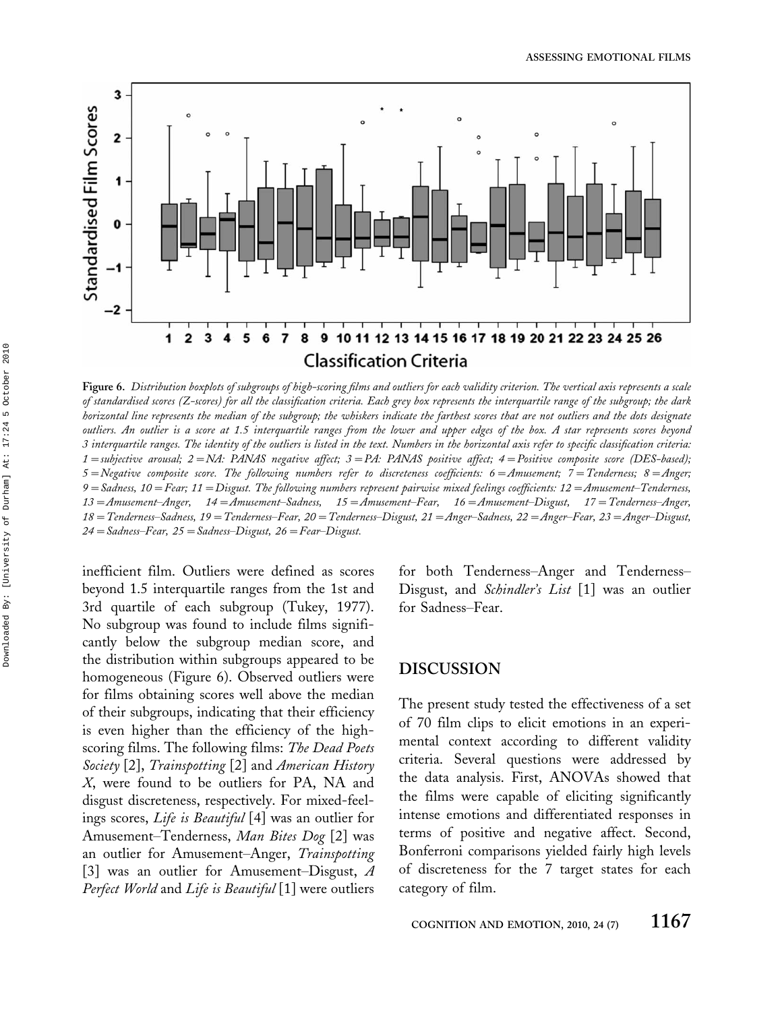

Figure 6. Distribution boxplots of subgroups of high-scoring films and outliers for each validity criterion. The vertical axis represents a scale of standardised scores (Z-scores) for all the classification criteria. Each grey box represents the interquartile range of the subgroup; the dark horizontal line represents the median of the subgroup; the whiskers indicate the farthest scores that are not outliers and the dots designate outliers. An outlier is a score at 1.5 interquartile ranges from the lower and upper edges of the box. A star represents scores beyond 3 interquartile ranges. The identity of the outliers is listed in the text. Numbers in the horizontal axis refer to specific classification criteria: 1 = subjective arousal; 2 = NA: PANAS negative affect; 3 = PA: PANAS positive affect; 4 = Positive composite score (DES-based);  $5 = Ne$ gative composite score. The following numbers refer to discreteness coefficients:  $6 = Am$ usement;  $7 = T$ enderness;  $8 = Ang$ er;  $9 =$ Sadness,  $10 =$ Fear;  $11 =$ Disgust. The following numbers represent pairwise mixed feelings coefficients:  $12 =$ Amusement-Tenderness, 13 = Amusement-Anger, 14 = Amusement-Sadness, 15 = Amusement-Fear, 16 = Amusement-Disgust, 17 = Tenderness-Anger, 18 = Tenderness-Sadness, 19 = Tenderness-Fear, 20 = Tenderness-Disgust, 21 = Anger-Sadness, 22 = Anger-Fear, 23 = Anger-Disgust,  $24 =$ Sadness-Fear,  $25 =$ Sadness-Disgust,  $26 =$ Fear-Disgust.

inefficient film. Outliers were defined as scores beyond 1.5 interquartile ranges from the 1st and 3rd quartile of each subgroup (Tukey, 1977). No subgroup was found to include films significantly below the subgroup median score, and the distribution within subgroups appeared to be homogeneous (Figure 6). Observed outliers were for films obtaining scores well above the median of their subgroups, indicating that their efficiency is even higher than the efficiency of the highscoring films. The following films: The Dead Poets Society [2], Trainspotting [2] and American History X, were found to be outliers for PA, NA and disgust discreteness, respectively. For mixed-feelings scores, Life is Beautiful [4] was an outlier for Amusement–Tenderness, Man Bites Dog [2] was an outlier for Amusement-Anger, Trainspotting [3] was an outlier for Amusement–Disgust,  $A$ Perfect World and Life is Beautiful [1] were outliers

for both Tenderness–Anger and Tenderness– Disgust, and Schindler's List [1] was an outlier for Sadness-Fear.

#### DISCUSSION

The present study tested the effectiveness of a set of 70 film clips to elicit emotions in an experimental context according to different validity criteria. Several questions were addressed by the data analysis. First, ANOVAs showed that the films were capable of eliciting significantly intense emotions and differentiated responses in terms of positive and negative affect. Second, Bonferroni comparisons yielded fairly high levels of discreteness for the 7 target states for each category of film.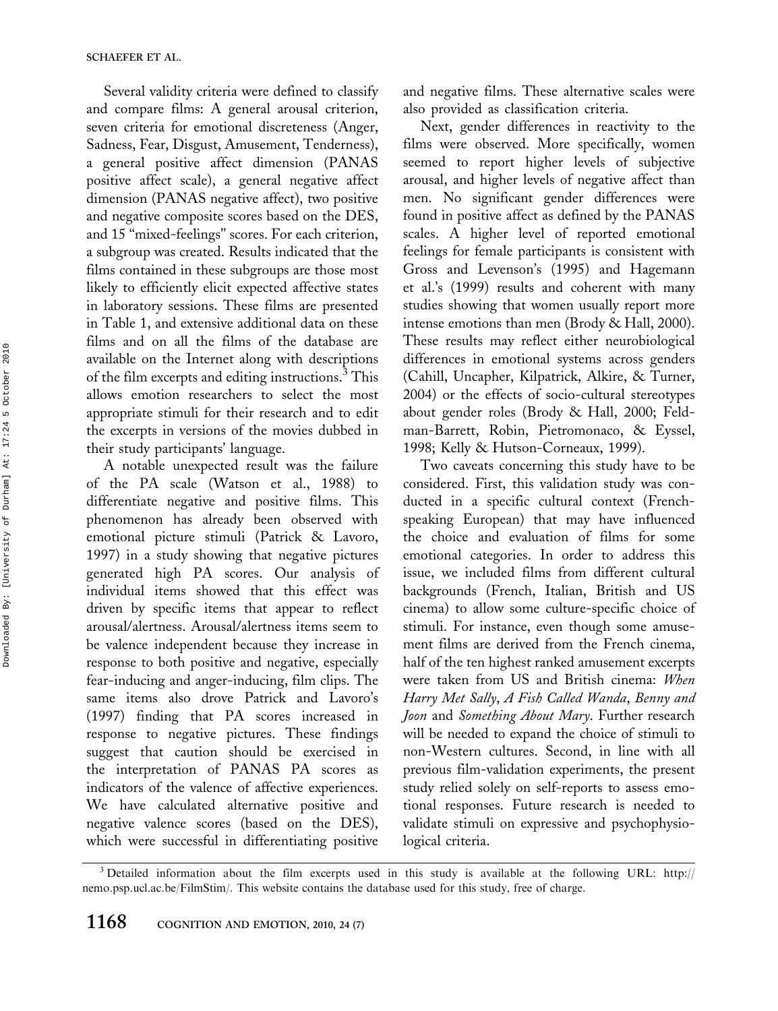Several validity criteria were defined to classify and compare films: A general arousal criterion, seven criteria for emotional discreteness (Anger, Sadness, Fear, Disgust, Amusement, Tenderness), a general positive affect dimension (PANAS positive affect scale), a general negative affect dimension (PANAS negative affect), two positive and negative composite scores based on the DES, and 15 ''mixed-feelings'' scores. For each criterion, a subgroup was created. Results indicated that the films contained in these subgroups are those most likely to efficiently elicit expected affective states in laboratory sessions. These films are presented in Table 1, and extensive additional data on these films and on all the films of the database are available on the Internet along with descriptions of the film excerpts and editing instructions.<sup>3</sup> This allows emotion researchers to select the most appropriate stimuli for their research and to edit the excerpts in versions of the movies dubbed in their study participants' language.

A notable unexpected result was the failure of the PA scale (Watson et al., 1988) to differentiate negative and positive films. This phenomenon has already been observed with emotional picture stimuli (Patrick & Lavoro, 1997) in a study showing that negative pictures generated high PA scores. Our analysis of individual items showed that this effect was driven by specific items that appear to reflect arousal/alertness. Arousal/alertness items seem to be valence independent because they increase in response to both positive and negative, especially fear-inducing and anger-inducing, film clips. The same items also drove Patrick and Lavoro's (1997) finding that PA scores increased in response to negative pictures. These findings suggest that caution should be exercised in the interpretation of PANAS PA scores as indicators of the valence of affective experiences. We have calculated alternative positive and negative valence scores (based on the DES), which were successful in differentiating positive

and negative films. These alternative scales were also provided as classification criteria.

Next, gender differences in reactivity to the films were observed. More specifically, women seemed to report higher levels of subjective arousal, and higher levels of negative affect than men. No significant gender differences were found in positive affect as defined by the PANAS scales. A higher level of reported emotional feelings for female participants is consistent with Gross and Levenson's (1995) and Hagemann et al.'s (1999) results and coherent with many studies showing that women usually report more intense emotions than men (Brody & Hall, 2000). These results may reflect either neurobiological differences in emotional systems across genders (Cahill, Uncapher, Kilpatrick, Alkire, & Turner, 2004) or the effects of socio-cultural stereotypes about gender roles (Brody & Hall, 2000; Feldman-Barrett, Robin, Pietromonaco, & Eyssel, 1998; Kelly & Hutson-Corneaux, 1999).

Two caveats concerning this study have to be considered. First, this validation study was conducted in a specific cultural context (Frenchspeaking European) that may have influenced the choice and evaluation of films for some emotional categories. In order to address this issue, we included films from different cultural backgrounds (French, Italian, British and US cinema) to allow some culture-specific choice of stimuli. For instance, even though some amusement films are derived from the French cinema, half of the ten highest ranked amusement excerpts were taken from US and British cinema: When Harry Met Sally, A Fish Called Wanda, Benny and Joon and Something About Mary. Further research will be needed to expand the choice of stimuli to non-Western cultures. Second, in line with all previous film-validation experiments, the present study relied solely on self-reports to assess emotional responses. Future research is needed to validate stimuli on expressive and psychophysiological criteria.

<sup>&</sup>lt;sup>3</sup> Detailed information about the film excerpts used in this study is available at the following URL: [http://](http://nemo.psp.ucl.ac.be/FilmStim/) [nemo.psp.ucl.ac.be/FilmStim/](http://nemo.psp.ucl.ac.be/FilmStim/). This website contains the database used for this study, free of charge.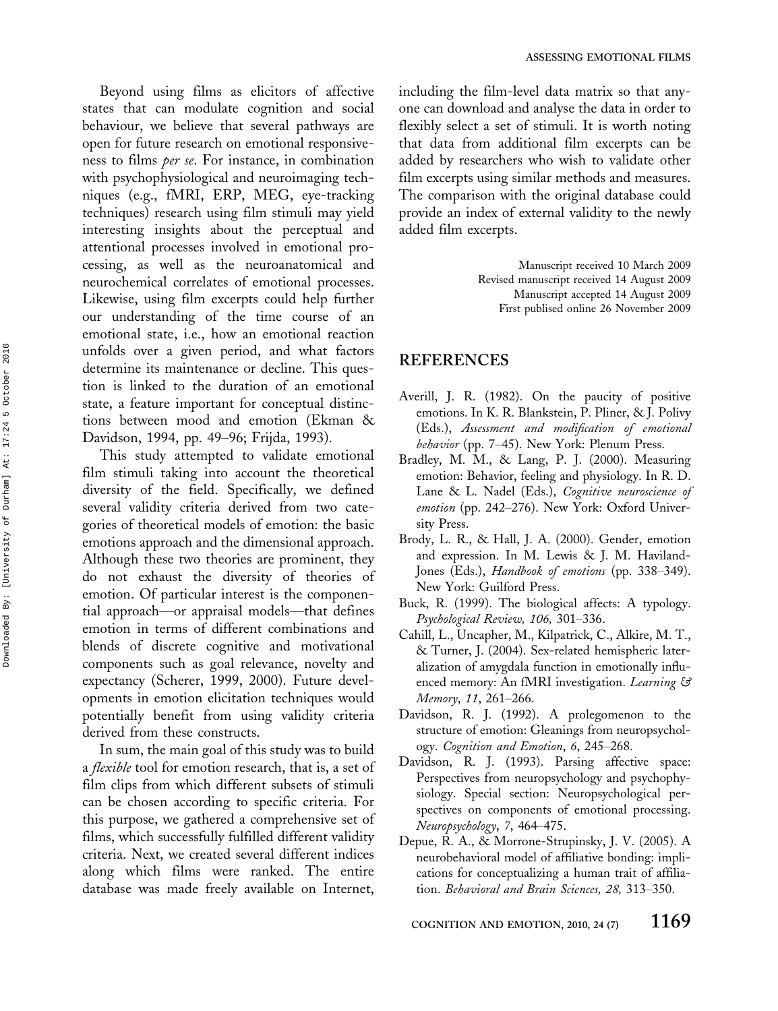Beyond using films as elicitors of affective states that can modulate cognition and social behaviour, we believe that several pathways are open for future research on emotional responsiveness to films per se. For instance, in combination with psychophysiological and neuroimaging techniques (e.g., fMRI, ERP, MEG, eye-tracking techniques) research using film stimuli may yield interesting insights about the perceptual and attentional processes involved in emotional processing, as well as the neuroanatomical and neurochemical correlates of emotional processes. Likewise, using film excerpts could help further our understanding of the time course of an emotional state, i.e., how an emotional reaction unfolds over a given period, and what factors determine its maintenance or decline. This question is linked to the duration of an emotional state, a feature important for conceptual distinctions between mood and emotion (Ekman & Davidson, 1994, pp. 49–96; Frijda, 1993).

This study attempted to validate emotional film stimuli taking into account the theoretical diversity of the field. Specifically, we defined several validity criteria derived from two categories of theoretical models of emotion: the basic emotions approach and the dimensional approach. Although these two theories are prominent, they do not exhaust the diversity of theories of emotion. Of particular interest is the componential approach—or appraisal models—that defines emotion in terms of different combinations and blends of discrete cognitive and motivational components such as goal relevance, novelty and expectancy (Scherer, 1999, 2000). Future developments in emotion elicitation techniques would potentially benefit from using validity criteria derived from these constructs.

In sum, the main goal of this study was to build a *flexible* tool for emotion research, that is, a set of film clips from which different subsets of stimuli can be chosen according to specific criteria. For this purpose, we gathered a comprehensive set of films, which successfully fulfilled different validity criteria. Next, we created several different indices along which films were ranked. The entire database was made freely available on Internet,

including the film-level data matrix so that anyone can download and analyse the data in order to flexibly select a set of stimuli. It is worth noting that data from additional film excerpts can be added by researchers who wish to validate other film excerpts using similar methods and measures. The comparison with the original database could provide an index of external validity to the newly added film excerpts.

> Manuscript received 10 March 2009 Revised manuscript received 14 August 2009 Manuscript accepted 14 August 2009 First publised online 26 November 2009

## REFERENCES

- Averill, J. R. (1982). On the paucity of positive emotions. In K. R. Blankstein, P. Pliner, & J. Polivy (Eds.), Assessment and modification of emotional behavior (pp. 7-45). New York: Plenum Press.
- Bradley, M. M., & Lang, P. J. (2000). Measuring emotion: Behavior, feeling and physiology. In R. D. Lane & L. Nadel (Eds.), Cognitive neuroscience of emotion (pp. 242-276). New York: Oxford University Press.
- Brody, L. R., & Hall, J. A. (2000). Gender, emotion and expression. In M. Lewis & J. M. Haviland-Jones (Eds.), Handbook of emotions (pp. 338–349). New York: Guilford Press.
- Buck, R. (1999). The biological affects: A typology. Psychological Review, 106, 301-336.
- Cahill, L., Uncapher, M., Kilpatrick, C., Alkire, M. T., & Turner, J. (2004). Sex-related hemispheric lateralization of amygdala function in emotionally influenced memory: An fMRI investigation. *Learning* & Memory, 11, 261-266.
- Davidson, R. J. (1992). A prolegomenon to the structure of emotion: Gleanings from neuropsychology. Cognition and Emotion, 6, 245-268.
- Davidson, R. J. (1993). Parsing affective space: Perspectives from neuropsychology and psychophysiology. Special section: Neuropsychological perspectives on components of emotional processing. Neuropsychology, 7, 464-475.
- Depue, R. A., & Morrone-Strupinsky, J. V. (2005). A neurobehavioral model of affiliative bonding: implications for conceptualizing a human trait of affiliation. Behavioral and Brain Sciences, 28, 313-350.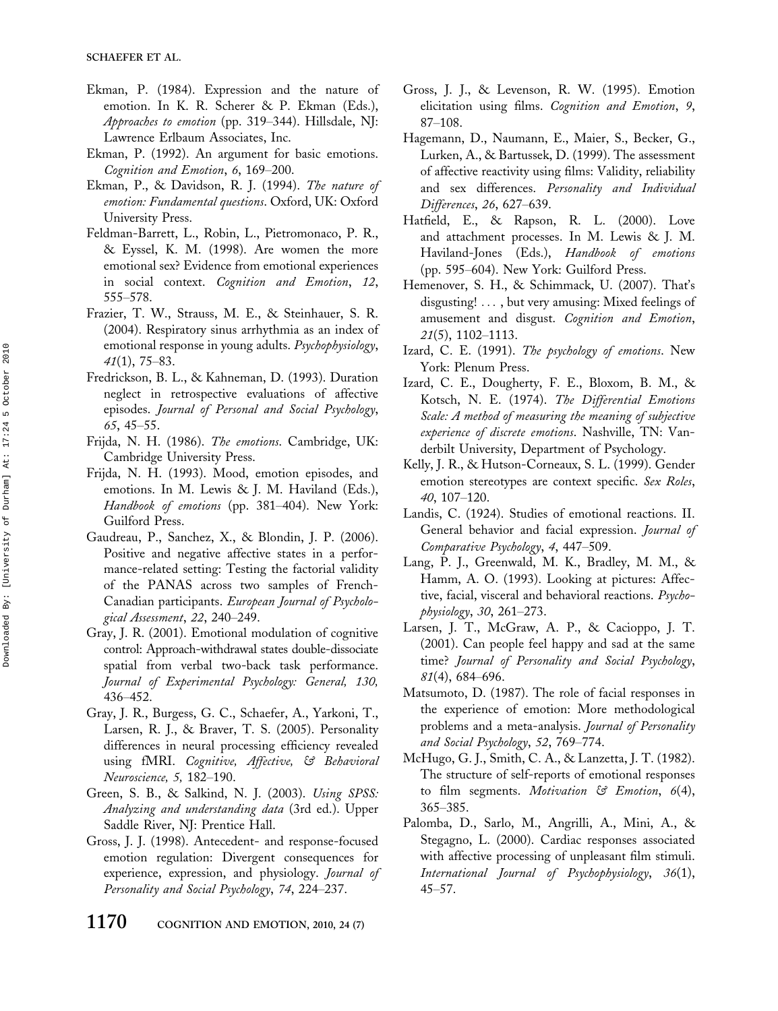- Ekman, P. (1984). Expression and the nature of emotion. In K. R. Scherer & P. Ekman (Eds.), Approaches to emotion (pp. 319-344). Hillsdale, NJ: Lawrence Erlbaum Associates, Inc.
- Ekman, P. (1992). An argument for basic emotions. Cognition and Emotion, 6, 169-200.
- Ekman, P., & Davidson, R. J. (1994). The nature of emotion: Fundamental questions. Oxford, UK: Oxford University Press.
- Feldman-Barrett, L., Robin, L., Pietromonaco, P. R., & Eyssel, K. M. (1998). Are women the more emotional sex? Evidence from emotional experiences in social context. Cognition and Emotion, 12, 555-578.
- Frazier, T. W., Strauss, M. E., & Steinhauer, S. R. (2004). Respiratory sinus arrhythmia as an index of emotional response in young adults. Psychophysiology,  $41(1), 75-83.$
- Fredrickson, B. L., & Kahneman, D. (1993). Duration neglect in retrospective evaluations of affective episodes. Journal of Personal and Social Psychology,  $65, 45 - 55.$
- Frijda, N. H. (1986). The emotions. Cambridge, UK: Cambridge University Press.
- Frijda, N. H. (1993). Mood, emotion episodes, and emotions. In M. Lewis & J. M. Haviland (Eds.), Handbook of emotions (pp. 381-404). New York: Guilford Press.
- Gaudreau, P., Sanchez, X., & Blondin, J. P. (2006). Positive and negative affective states in a performance-related setting: Testing the factorial validity of the PANAS across two samples of French-Canadian participants. European Journal of Psychological Assessment, 22, 240-249.
- Gray, J. R. (2001). Emotional modulation of cognitive control: Approach-withdrawal states double-dissociate spatial from verbal two-back task performance. Journal of Experimental Psychology: General, 130, 436452.
- Gray, J. R., Burgess, G. C., Schaefer, A., Yarkoni, T., Larsen, R. J., & Braver, T. S. (2005). Personality differences in neural processing efficiency revealed using fMRI. Cognitive, Affective, & Behavioral Neuroscience, 5, 182-190.
- Green, S. B., & Salkind, N. J. (2003). Using SPSS: Analyzing and understanding data (3rd ed.). Upper Saddle River, NJ: Prentice Hall.
- Gross, J. J. (1998). Antecedent- and response-focused emotion regulation: Divergent consequences for experience, expression, and physiology. Journal of Personality and Social Psychology, 74, 224-237.
- Gross, J. J., & Levenson, R. W. (1995). Emotion elicitation using films. Cognition and Emotion, 9, 87-108.
- Hagemann, D., Naumann, E., Maier, S., Becker, G., Lurken, A., & Bartussek, D. (1999). The assessment of affective reactivity using films: Validity, reliability and sex differences. Personality and Individual Differences, 26, 627-639.
- Hatfield, E., & Rapson, R. L. (2000). Love and attachment processes. In M. Lewis & J. M. Haviland-Jones (Eds.), Handbook of emotions  $(pp. 595–604)$ . New York: Guilford Press.
- Hemenover, S. H., & Schimmack, U. (2007). That's disgusting! ... , but very amusing: Mixed feelings of amusement and disgust. Cognition and Emotion, 21(5), 1102-1113.
- Izard, C. E. (1991). The psychology of emotions. New York: Plenum Press.
- Izard, C. E., Dougherty, F. E., Bloxom, B. M., & Kotsch, N. E. (1974). The Differential Emotions Scale: A method of measuring the meaning of subjective experience of discrete emotions. Nashville, TN: Vanderbilt University, Department of Psychology.
- Kelly, J. R., & Hutson-Corneaux, S. L. (1999). Gender emotion stereotypes are context specific. Sex Roles,  $40, 107 - 120.$
- Landis, C. (1924). Studies of emotional reactions. II. General behavior and facial expression. Journal of Comparative Psychology, 4, 447-509.
- Lang, P. J., Greenwald, M. K., Bradley, M. M., & Hamm, A. O. (1993). Looking at pictures: Affective, facial, visceral and behavioral reactions. Psycho $physiology, 30, 261–273.$
- Larsen, J. T., McGraw, A. P., & Cacioppo, J. T. (2001). Can people feel happy and sad at the same time? Journal of Personality and Social Psychology,  $81(4)$ , 684–696.
- Matsumoto, D. (1987). The role of facial responses in the experience of emotion: More methodological problems and a meta-analysis. Journal of Personality and Social Psychology, 52, 769-774.
- McHugo, G. J., Smith, C. A., & Lanzetta, J. T. (1982). The structure of self-reports of emotional responses to film segments. Motivation  $\mathfrak{S}$  Emotion, 6(4), 365–385.
- Palomba, D., Sarlo, M., Angrilli, A., Mini, A., & Stegagno, L. (2000). Cardiac responses associated with affective processing of unpleasant film stimuli. International Journal of Psychophysiology, 36(1),  $45 - 57$ .
- $1170$  COGNITION AND EMOTION, 2010, 24 (7)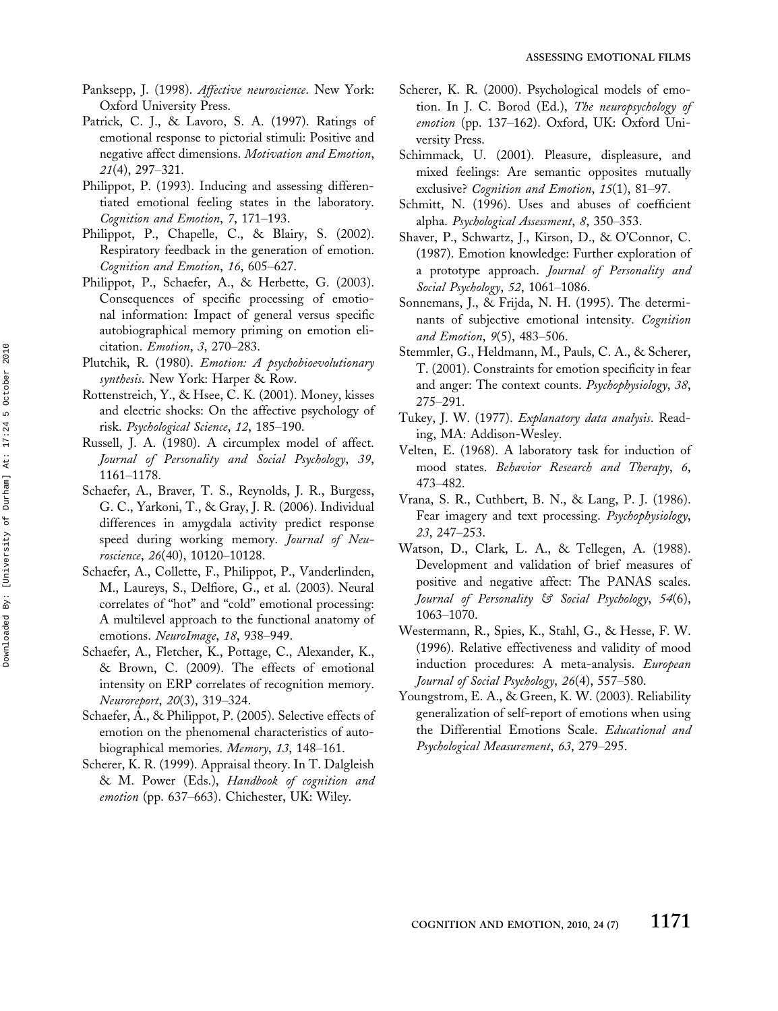- Panksepp, J. (1998). Affective neuroscience. New York: Oxford University Press.
- Patrick, C. J., & Lavoro, S. A. (1997). Ratings of emotional response to pictorial stimuli: Positive and negative affect dimensions. Motivation and Emotion,  $21(4)$ , 297-321.
- Philippot, P. (1993). Inducing and assessing differentiated emotional feeling states in the laboratory. Cognition and Emotion,  $7, 171-193$ .
- Philippot, P., Chapelle, C., & Blairy, S. (2002). Respiratory feedback in the generation of emotion. Cognition and Emotion, 16, 605-627.
- Philippot, P., Schaefer, A., & Herbette, G. (2003). Consequences of specific processing of emotional information: Impact of general versus specific autobiographical memory priming on emotion elicitation. Emotion, 3, 270-283.
- Plutchik, R. (1980). Emotion: A psychobioevolutionary synthesis. New York: Harper & Row.
- Rottenstreich, Y., & Hsee, C. K. (2001). Money, kisses and electric shocks: On the affective psychology of risk. Psychological Science, 12, 185-190.
- Russell, J. A. (1980). A circumplex model of affect. Journal of Personality and Social Psychology, 39, 1161–1178.
- Schaefer, A., Braver, T. S., Reynolds, J. R., Burgess, G. C., Yarkoni, T., & Gray, J. R. (2006). Individual differences in amygdala activity predict response speed during working memory. Journal of Neuroscience, 26(40), 10120-10128.
- Schaefer, A., Collette, F., Philippot, P., Vanderlinden, M., Laureys, S., Delfiore, G., et al. (2003). Neural correlates of ''hot'' and ''cold'' emotional processing: A multilevel approach to the functional anatomy of emotions. NeuroImage, 18, 938-949.
- Schaefer, A., Fletcher, K., Pottage, C., Alexander, K., & Brown, C. (2009). The effects of emotional intensity on ERP correlates of recognition memory. Neuroreport, 20(3), 319–324.
- Schaefer, A., & Philippot, P. (2005). Selective effects of emotion on the phenomenal characteristics of autobiographical memories. Memory, 13, 148-161.
- Scherer, K. R. (1999). Appraisal theory. In T. Dalgleish & M. Power (Eds.), Handbook of cognition and emotion (pp. 637–663). Chichester, UK: Wiley.
- Scherer, K. R. (2000). Psychological models of emotion. In J. C. Borod (Ed.), The neuropsychology of emotion (pp. 137-162). Oxford, UK: Oxford University Press.
- Schimmack, U. (2001). Pleasure, displeasure, and mixed feelings: Are semantic opposites mutually exclusive? Cognition and Emotion, 15(1), 81-97.
- Schmitt, N. (1996). Uses and abuses of coefficient alpha. Psychological Assessment, 8, 350-353.
- Shaver, P., Schwartz, J., Kirson, D., & O'Connor, C. (1987). Emotion knowledge: Further exploration of a prototype approach. Journal of Personality and Social Psychology, 52,  $1061-1086$ .
- Sonnemans, J., & Frijda, N. H. (1995). The determinants of subjective emotional intensity. Cognition and Emotion,  $9(5)$ , 483-506.
- Stemmler, G., Heldmann, M., Pauls, C. A., & Scherer, T. (2001). Constraints for emotion specificity in fear and anger: The context counts. Psychophysiology, 38,  $275 - 291.$
- Tukey, J. W. (1977). Explanatory data analysis. Reading, MA: Addison-Wesley.
- Velten, E. (1968). A laboratory task for induction of mood states. Behavior Research and Therapy, 6, 473-482.
- Vrana, S. R., Cuthbert, B. N., & Lang, P. J. (1986). Fear imagery and text processing. Psychophysiology,  $23, 247 - 253.$
- Watson, D., Clark, L. A., & Tellegen, A. (1988). Development and validation of brief measures of positive and negative affect: The PANAS scales. Journal of Personality & Social Psychology, 54(6), 1063-1070.
- Westermann, R., Spies, K., Stahl, G., & Hesse, F. W. (1996). Relative effectiveness and validity of mood induction procedures: A meta-analysis. European Journal of Social Psychology, 26(4), 557-580.
- Youngstrom, E. A., & Green, K. W. (2003). Reliability generalization of self-report of emotions when using the Differential Emotions Scale. Educational and Psychological Measurement, 63, 279-295.

2010